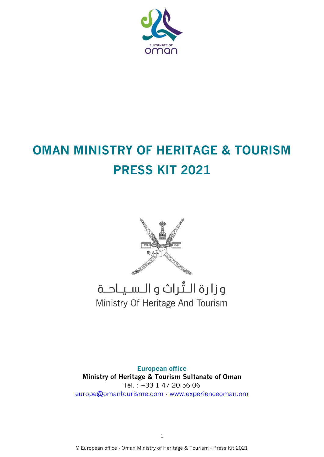

# **OMAN MINISTRY OF HERITAGE & TOURISM PRESS KIT 2021**



## وزارة الـتُراث و الـسـيـاحــة Ministry Of Heritage And Tourism

**European office Ministry of Heritage & Tourism Sultanate of Oman**  Tél. : +33 1 47 20 56 06 [europe@omantourisme.com](mailto:europe@omantourisme.com) - [www.experienceoman.om](http://www.experienceoman.om/)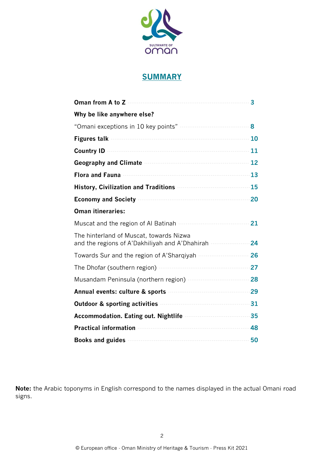

### **SUMMARY**

| Oman from A to Z                                                                                                                                                                                                                     | 3     |
|--------------------------------------------------------------------------------------------------------------------------------------------------------------------------------------------------------------------------------------|-------|
| Why be like anywhere else?                                                                                                                                                                                                           |       |
|                                                                                                                                                                                                                                      | 8     |
| Figures talk <b>contract the contract of the contract of the contract of the contract of the contract of the contract of the contract of the contract of the contract of the contract of the contract of the contract of the con</b> | 10    |
| <b>Country ID</b>                                                                                                                                                                                                                    | 11    |
| Geography and Climate <b>contract of the Climate</b> of Climate and Climate of the Climate of Climate and Climate of C                                                                                                               | 12    |
| <b>Flora and Fauna</b>                                                                                                                                                                                                               | 13    |
| History, Civilization and Traditions <b>Fig. 2016</b>                                                                                                                                                                                | 15    |
| <b>Economy and Society</b>                                                                                                                                                                                                           | 20    |
| <b>Oman itineraries:</b>                                                                                                                                                                                                             |       |
| Muscat and the region of Al Batinah                                                                                                                                                                                                  | 21    |
| The hinterland of Muscat, towards Nizwa<br>and the regions of A'Dakhiliyah and A'Dhahirah                                                                                                                                            | 24    |
| Towards Sur and the region of A'Sharqiyah                                                                                                                                                                                            | 26    |
| The Dhofar (southern region) <b>contains the Dhofar</b>                                                                                                                                                                              | $-27$ |
| Musandam Peninsula (northern region) <b>Musandam Peninsula Propinsi</b>                                                                                                                                                              | 28    |
| Annual events: culture & sports                                                                                                                                                                                                      | $-29$ |
| <b>Outdoor &amp; sporting activities</b>                                                                                                                                                                                             | $-31$ |
| Accommodation. Eating out. Nightlife <b>Accommodation.</b>                                                                                                                                                                           | 35    |
| <b>Practical information</b>                                                                                                                                                                                                         | 48    |
| Books and guides <b>contract the contract of the set of the set of the set of the set of the set of the set of the set of the set of the set of the set of the set of the set of the set of the set of the set of the set of the</b> | 50    |

**Note:** the Arabic toponyms in English correspond to the names displayed in the actual Omani road signs.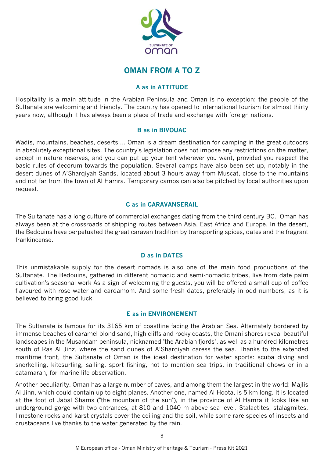

### **OMAN FROM A TO Z**

#### **A as in ATTITUDE**

Hospitality is a main attitude in the Arabian Peninsula and Oman is no exception: the people of the Sultanate are welcoming and friendly. The country has opened to international tourism for almost thirty years now, although it has always been a place of trade and exchange with foreign nations.

#### **B as in BIVOUAC**

Wadis, mountains, beaches, deserts ... Oman is a dream destination for camping in the great outdoors in absolutely exceptional sites. The country's legislation does not impose any restrictions on the matter, except in nature reserves, and you can put up your tent wherever you want, provided you respect the basic rules of decorum towards the population. Several camps have also been set up, notably in the desert dunes of A'Sharqiyah Sands, located about 3 hours away from Muscat, close to the mountains and not far from the town of Al Hamra. Temporary camps can also be pitched by local authorities upon request.

#### **C as in CARAVANSERAIL**

The Sultanate has a long culture of commercial exchanges dating from the third century BC. Oman has always been at the crossroads of shipping routes between Asia, East Africa and Europe. In the desert, the Bedouins have perpetuated the great caravan tradition by transporting spices, dates and the fragrant frankincense.

#### **D as in DATES**

This unmistakable supply for the desert nomads is also one of the main food productions of the Sultanate. The Bedouins, gathered in different nomadic and semi-nomadic tribes, live from date palm cultivation's seasonal work As a sign of welcoming the guests, you will be offered a small cup of coffee flavoured with rose water and cardamom. And some fresh dates, preferably in odd numbers, as it is believed to bring good luck.

#### **E as in ENVIRONEMENT**

The Sultanate is famous for its 3165 km of coastline facing the Arabian Sea. Alternately bordered by immense beaches of caramel blond sand, high cliffs and rocky coasts, the Omani shores reveal beautiful landscapes in the Musandam peninsula, nicknamed "the Arabian fjords", as well as a hundred kilometres south of Ras Al Jinz, where the sand dunes of A'Sharqiyah caress the sea. Thanks to the extended maritime front, the Sultanate of Oman is the ideal destination for water sports: scuba diving and snorkelling, kitesurfing, sailing, sport fishing, not to mention sea trips, in traditional dhows or in a catamaran, for marine life observation.

Another peculiarity. Oman has a large number of caves, and among them the largest in the world: Majlis Al Jinn, which could contain up to eight planes. Another one, named Al Hoota, is 5 km long. It is located at the foot of Jabal Shams ("the mountain of the sun"), in the province of Al Hamra it looks like an underground gorge with two entrances, at 810 and 1040 m above sea level. Stalactites, stalagmites, limestone rocks and karst crystals cover the ceiling and the soil, while some rare species of insects and crustaceans live thanks to the water generated by the rain.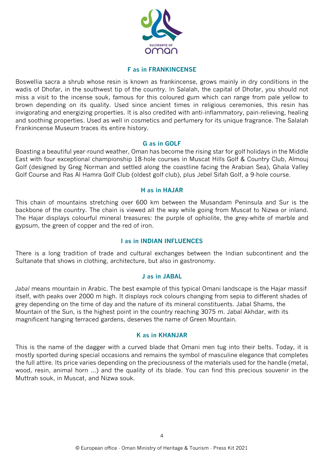

#### **F as in FRANKINCENSE**

Boswellia sacra a shrub whose resin is known as frankincense, grows mainly in dry conditions in the wadis of Dhofar, in the southwest tip of the country. In Salalah, the capital of Dhofar, you should not miss a visit to the incense souk, famous for this coloured gum which can range from pale yellow to brown depending on its quality. Used since ancient times in religious ceremonies, this resin has invigorating and energizing properties. It is also credited with anti-inflammatory, pain-relieving, healing and soothing properties. Used as well in cosmetics and perfumery for its unique fragrance. The Salalah Frankincense Museum traces its entire history.

#### **G as in GOLF**

Boasting a beautiful year-round weather, Oman has become the rising star for golf holidays in the Middle East with four exceptional championship 18-hole courses in Muscat Hills Golf & Country Club, Almouj Golf (designed by Greg Norman and settled along the coastline facing the Arabian Sea), Ghala Valley Golf Course and Ras Al Hamra Golf Club (oldest golf club), plus Jebel Sifah Golf, a 9-hole course.

#### **H as in HAJAR**

This chain of mountains stretching over 600 km between the Musandam Peninsula and Sur is the backbone of the country. The chain is viewed all the way while going from Muscat to Nizwa or inland. The Hajar displays colourful mineral treasures: the purple of ophiolite, the grey-white of marble and gypsum, the green of copper and the red of iron.

#### **I as in INDIAN INFLUENCES**

There is a long tradition of trade and cultural exchanges between the Indian subcontinent and the Sultanate that shows in clothing, architecture, but also in gastronomy.

#### **J as in JABAL**

*Jabal* means mountain in Arabic. The best example of this typical Omani landscape is the Hajar massif itself, with peaks over 2000 m high. It displays rock colours changing from sepia to different shades of grey depending on the time of day and the nature of its mineral constituents. Jabal Shams, the Mountain of the Sun, is the highest point in the country reaching 3075 m. Jabal Akhdar, with its magnificent hanging terraced gardens, deserves the name of Green Mountain.

#### **K as in KHANJAR**

This is the name of the dagger with a curved blade that Omani men tug into their belts. Today, it is mostly sported during special occasions and remains the symbol of masculine elegance that completes the full attire. Its price varies depending on the preciousness of the materials used for the handle (metal, wood, resin, animal horn ...) and the quality of its blade. You can find this precious souvenir in the Muttrah souk, in Muscat, and Nizwa souk.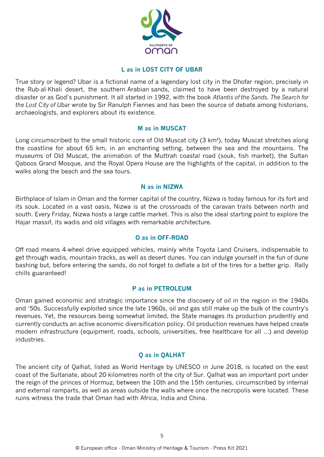

#### **L as in LOST CITY OF UBAR**

True story or legend? Ubar is a fictional name of a legendary lost city in the Dhofar region, precisely in the Rub-al-Khali desert, the southern Arabian sands, claimed to have been destroyed by a natural disaster or as God's punishment. It all started in 1992, with the book *Atlantis of the Sands. The Search for the Lost City of Ubar* wrote by Sir Ranulph Fiennes and has been the source of debate among historians, archaeologists, and explorers about its existence.

#### **M as in MUSCAT**

Long circumscribed to the small historic core of Old Muscat city (3 km²), today Muscat stretches along the coastline for about 65 km, in an enchanting setting, between the sea and the mountains. The museums of Old Muscat, the animation of the Muttrah coastal road (souk, fish market), the Sultan Qaboos Grand Mosque, and the Royal Opera House are the highlights of the capital, in addition to the walks along the beach and the sea tours.

#### **N as in NIZWA**

Birthplace of Islam in Oman and the former capital of the country, Nizwa is today famous for its fort and its souk. Located in a vast oasis, Nizwa is at the crossroads of the caravan trails between north and south. Every Friday, Nizwa hosts a large cattle market. This is also the ideal starting point to explore the Hajar massif, its wadis and old villages with remarkable architecture.

#### **O as in OFF-ROAD**

Off road means 4-wheel drive equipped vehicles, mainly white Toyota Land Cruisers, indispensable to get through wadis, mountain tracks, as well as desert dunes. You can indulge yourself in the fun of dune bashing but, before entering the sands, do not forget to deflate a bit of the tires for a better grip. Rally chills guaranteed!

#### **P as in PETROLEUM**

Oman gained economic and strategic importance since the discovery of oil in the region in the 1940s and '50s. Successfully exploited since the late 1960s, oil and gas still make up the bulk of the country's revenues. Yet, the resources being somewhat limited, the State manages its production prudently and currently conducts an active economic diversification policy. Oil production revenues have helped create modern infrastructure (equipment, roads, schools, universities, free healthcare for all ...) and develop industries.

#### **Q as in QALHAT**

The ancient city of Qalhat, listed as World Heritage by UNESCO in June 2018, is located on the east coast of the Sultanate, about 20 kilometres north of the city of Sur. Qalhat was an important port under the reign of the princes of Hormuz, between the 10th and the 15th centuries, circumscribed by internal and external ramparts, as well as areas outside the walls where once the necropolis were located. These ruins witness the trade that Oman had with Africa, India and China.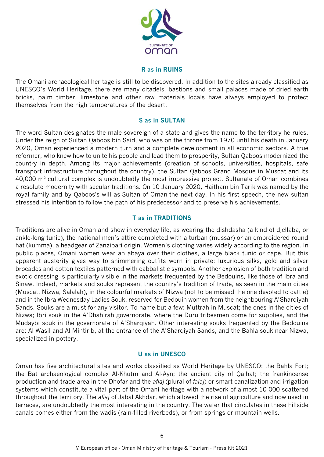

#### **R as in RUINS**

The Omani archaeological heritage is still to be discovered. In addition to the sites already classified as UNESCO's World Heritage, there are many citadels, bastions and small palaces made of dried earth bricks, palm timber, limestone and other raw materials locals have always employed to protect themselves from the high temperatures of the desert.

#### **S as in SULTAN**

The word Sultan designates the male sovereign of a state and gives the name to the territory he rules. Under the reign of Sultan Qaboos bin Said, who was on the throne from 1970 until his death in January 2020, Oman experienced a modern turn and a complete development in all economic sectors. A true reformer, who knew how to unite his people and lead them to prosperity, Sultan Qaboos modernized the country in depth. Among its major achievements (creation of schools, universities, hospitals, safe transport infrastructure throughout the country), the Sultan Qaboos Grand Mosque in Muscat and its 40,000 m² cultural complex is undoubtedly the most impressive project. Sultanate of Oman combines a resolute modernity with secular traditions. On 10 January 2020, Haitham bin Tarik was named by the royal family and by Qaboos's will as Sultan of Oman the next day. In his first speech, the new sultan stressed his intention to follow the path of his predecessor and to preserve his achievements.

#### **T as in TRADITIONS**

Traditions are alive in Oman and show in everyday life, as wearing the dishdasha (a kind of djellaba, or ankle-long tunic), the national men's attire completed with a turban (mussar) or an embroidered round hat (kumma), a headgear of Zanzibari origin. Women's clothing varies widely according to the region. In public places, Omani women wear an abaya over their clothes, a large black tunic or cape. But this apparent austerity gives way to shimmering outfits worn in private: luxurious silks, gold and silver brocades and cotton textiles patterned with cabbalistic symbols. Another explosion of both tradition and exotic dressing is particularly visible in the markets frequented by the Bedouins, like those of Ibra and Sinaw. Indeed, markets and souks represent the country's tradition of trade, as seen in the main cities (Muscat, Nizwa, Salalah), in the colourful markets of Nizwa (not to be missed the one devoted to cattle) and in the Ibra Wednesday Ladies Souk, reserved for Bedouin women from the neighbouring A'Sharqiyah Sands. Souks are a must for any visitor. To name but a few: Muttrah in Muscat; the ones in the cities of Nizwa; Ibri souk in the A'Dhahirah governorate, where the Duru tribesmen come for supplies, and the Mudaybi souk in the governorate of A'Sharqiyah. Other interesting souks frequented by the Bedouins are: Al Wasil and Al Mintirib, at the entrance of the A'Sharqiyah Sands, and the Bahla souk near Nizwa, specialized in pottery.

#### **U as in UNESCO**

Oman has five architectural sites and works classified as World Heritage by UNESCO: the Bahla Fort; the Bat archaeological complex Al-Khutm and Al-Ayn; the ancient city of Qalhat; the frankincense production and trade area in the Dhofar and the *aflaj* (plural of *falaj*) or smart canalization and irrigation systems which constitute a vital part of the Omani heritage with a network of almost 10 000 scattered throughout the territory. The *aflaj* of Jabal Akhdar, which allowed the rise of agriculture and now used in terraces, are undoubtedly the most interesting in the country. The water that circulates in these hillside canals comes either from the wadis (rain-filled riverbeds), or from springs or mountain wells.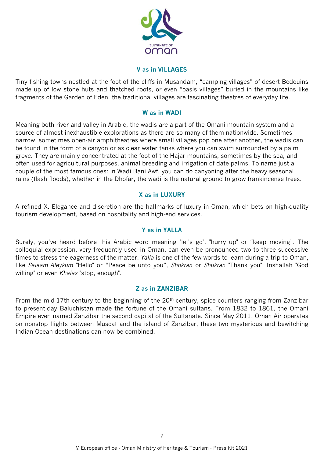

#### **V as in VILLAGES**

Tiny fishing towns nestled at the foot of the cliffs in Musandam, "camping villages" of desert Bedouins made up of low stone huts and thatched roofs, or even "oasis villages" buried in the mountains like fragments of the Garden of Eden, the traditional villages are fascinating theatres of everyday life.

#### **W as in WADI**

Meaning both river and valley in Arabic, the wadis are a part of the Omani mountain system and a source of almost inexhaustible explorations as there are so many of them nationwide. Sometimes narrow, sometimes open-air amphitheatres where small villages pop one after another, the wadis can be found in the form of a canyon or as clear water tanks where you can swim surrounded by a palm grove. They are mainly concentrated at the foot of the Hajar mountains, sometimes by the sea, and often used for agricultural purposes, animal breeding and irrigation of date palms. To name just a couple of the most famous ones: in Wadi Bani Awf, you can do canyoning after the heavy seasonal rains (flash floods), whether in the Dhofar, the wadi is the natural ground to grow frankincense trees.

#### **X as in LUXURY**

A refined X. Elegance and discretion are the hallmarks of luxury in Oman, which bets on high-quality tourism development, based on hospitality and high-end services.

#### **Y as in YALLA**

Surely, you've heard before this Arabic word meaning "let's go", "hurry up" or "keep moving". The colloquial expression, very frequently used in Oman, can even be pronounced two to three successive times to stress the eagerness of the matter. *Yalla* is one of the few words to learn during a trip to Oman, like *Salaam Aleykum* "Hello" or "Peace be unto you", *Shokran* or *Shukran* "Thank you", Inshallah "God willing" or even *Khalas* "stop, enough".

#### **Z as in ZANZIBAR**

From the mid-17th century to the beginning of the 20<sup>th</sup> century, spice counters ranging from Zanzibar to present-day Baluchistan made the fortune of the Omani sultans. From 1832 to 1861, the Omani Empire even named Zanzibar the second capital of the Sultanate. Since May 2011, Oman Air operates on nonstop flights between Muscat and the island of Zanzibar, these two mysterious and bewitching Indian Ocean destinations can now be combined.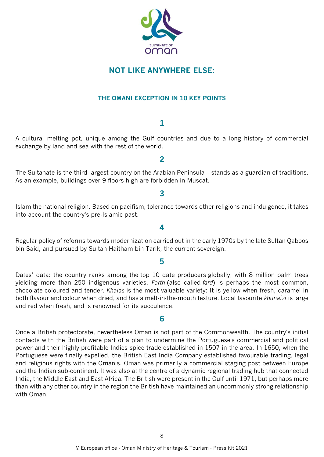

### **NOT LIKE ANYWHERE ELSE:**

#### **THE OMANI EXCEPTION IN 10 KEY POINTS**

#### **1**

A cultural melting pot, unique among the Gulf countries and due to a long history of commercial exchange by land and sea with the rest of the world.

**2**

### The Sultanate is the third-largest country on the Arabian Peninsula – stands as a guardian of traditions. As an example, buildings over 9 floors high are forbidden in Muscat.

#### **3**

Islam the national religion. Based on pacifism, tolerance towards other religions and indulgence, it takes into account the country's pre-Islamic past.

**4**

Regular policy of reforms towards modernization carried out in the early 1970s by the late Sultan Qaboos bin Said, and pursued by Sultan Haitham bin Tarik, the current sovereign.

#### **5**

Dates' data: the country ranks among the top 10 date producers globally, with 8 million palm trees yielding more than 250 indigenous varieties. *Farth* (also called *fard*) is perhaps the most common, chocolate-coloured and tender. *Khalas* is the most valuable variety: It is yellow when fresh, caramel in both flavour and colour when dried, and has a melt-in-the-mouth texture. Local favourite *khunaizi* is large and red when fresh, and is renowned for its succulence.

#### **6**

Once a British protectorate, nevertheless Oman is not part of the Commonwealth. The country's initial contacts with the British were part of a plan to undermine the Portuguese's commercial and political power and their highly profitable Indies spice trade established in 1507 in the area. In 1650, when the Portuguese were finally expelled, the British East India Company established favourable trading, legal and religious rights with the Omanis. Oman was primarily a commercial staging post between Europe and the Indian sub-continent. It was also at the centre of a dynamic regional trading hub that connected India, the Middle East and East Africa. The British were present in the Gulf until 1971, but perhaps more than with any other country in the region the British have maintained an uncommonly strong relationship with Oman.

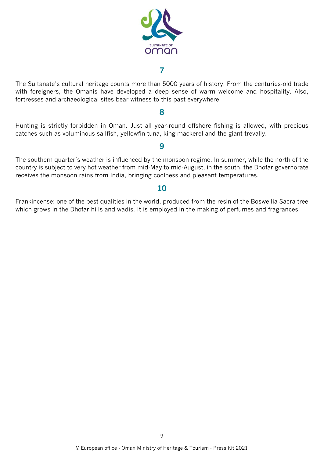

#### **7**

The Sultanate's cultural heritage counts more than 5000 years of history. From the centuries-old trade with foreigners, the Omanis have developed a deep sense of warm welcome and hospitality. Also, fortresses and archaeological sites bear witness to this past everywhere.

#### **8**

Hunting is strictly forbidden in Oman. Just all year-round offshore fishing is allowed, with precious catches such as voluminous sailfish, yellowfin tuna, king mackerel and the giant trevally.

#### **9**

The southern quarter's weather is influenced by the monsoon regime. In summer, while the north of the country is subject to very hot weather from mid-May to mid-August, in the south, the Dhofar governorate receives the monsoon rains from India, bringing coolness and pleasant temperatures.

#### **10**

Frankincense: one of the best qualities in the world, produced from the resin of the Boswellia Sacra tree which grows in the Dhofar hills and wadis. It is employed in the making of perfumes and fragrances.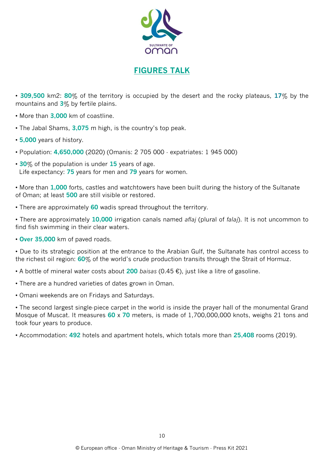

### **FIGURES TALK**

• **309,500** km2: **80**% of the territory is occupied by the desert and the rocky plateaus, **17**% by the mountains and **3**% by fertile plains.

- More than **3,000** km of coastline.
- The Jabal Shams, **3,075** m high, is the country's top peak.
- **5,000** years of history.
- Population: **4,650,000** (2020) (Omanis: 2 705 000 expatriates: 1 945 000)
- **30**% of the population is under **15** years of age. Life expectancy: **75** years for men and **79** years for women.

• More than **1,000** forts, castles and watchtowers have been built during the history of the Sultanate of Oman; at least **500** are still visible or restored.

• There are approximately **60** wadis spread throughout the territory.

• There are approximately **10,000** irrigation canals named *aflaj* (plural of *falaj*). It is not uncommon to find fish swimming in their clear waters.

• **Over 35,000** km of paved roads.

• Due to its strategic position at the entrance to the Arabian Gulf, the Sultanate has control access to the richest oil region: **60**% of the world's crude production transits through the Strait of Hormuz.

- A bottle of mineral water costs about **200** *baisas* (0.45 €), just like a litre of gasoline.
- There are a hundred varieties of dates grown in Oman.
- Omani weekends are on Fridays and Saturdays.

• The second largest single-piece carpet in the world is inside the prayer hall of the monumental Grand Mosque of Muscat. It measures **60** x **70** meters, is made of 1,700,000,000 knots, weighs 21 tons and took four years to produce.

• Accommodation: **492** hotels and apartment hotels, which totals more than **25,408** rooms (2019).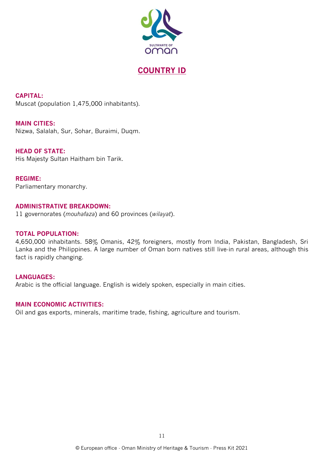

### **COUNTRY ID**

**CAPITAL:**  Muscat (population 1,475,000 inhabitants).

**MAIN CITIES:** Nizwa, Salalah, Sur, Sohar, Buraimi, Duqm.

**HEAD OF STATE:**  His Majesty Sultan Haitham bin Tarik.

**REGIME:**  Parliamentary monarchy.

#### **ADMINISTRATIVE BREAKDOWN:**

11 governorates (*mouhafaza*) and 60 provinces (*wilayat*).

#### **TOTAL POPULATION:**

4,650,000 inhabitants. 58% Omanis, 42% foreigners, mostly from India, Pakistan, Bangladesh, Sri Lanka and the Philippines. A large number of Oman born natives still live-in rural areas, although this fact is rapidly changing.

#### **LANGUAGES:**

Arabic is the official language. English is widely spoken, especially in main cities.

#### **MAIN ECONOMIC ACTIVITIES:**

Oil and gas exports, minerals, maritime trade, fishing, agriculture and tourism.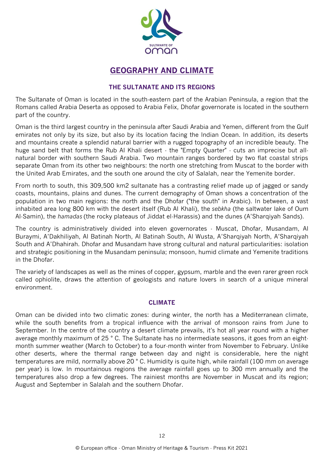

### **GEOGRAPHY AND CLIMATE**

#### **THE SULTANATE AND ITS REGIONS**

The Sultanate of Oman is located in the south-eastern part of the Arabian Peninsula, a region that the Romans called Arabia Deserta as opposed to Arabia Felix, Dhofar governorate is located in the southern part of the country.

Oman is the third largest country in the peninsula after Saudi Arabia and Yemen, different from the Gulf emirates not only by its size, but also by its location facing the Indian Ocean. In addition, its deserts and mountains create a splendid natural barrier with a rugged topography of an incredible beauty. The huge sand belt that forms the Rub Al Khali desert - the "Empty Quarter" - cuts an imprecise but allnatural border with southern Saudi Arabia. Two mountain ranges bordered by two flat coastal strips separate Oman from its other two neighbours: the north one stretching from Muscat to the border with the United Arab Emirates, and the south one around the city of Salalah, near the Yemenite border.

From north to south, this 309,500 km2 sultanate has a contrasting relief made up of jagged or sandy coasts, mountains, plains and dunes. The current demography of Oman shows a concentration of the population in two main regions: the north and the Dhofar ("the south" in Arabic). In between, a vast inhabited area long 800 km with the desert itself (Rub Al Khali), the *sebkha* (the saltwater lake of Oum Al-Samin), the *hamadas* (the rocky plateaus of Jiddat el-Harassis) and the dunes (A'Sharqiyah Sands).

The country is administratively divided into eleven governorates - Muscat, Dhofar, Musandam, Al Buraymi, A'Dakhiliyah, Al Batinah North, Al Batinah South, Al Wusta, A'Sharqiyah North, A'Sharqiyah South and A'Dhahirah. Dhofar and Musandam have strong cultural and natural particularities: isolation and strategic positioning in the Musandam peninsula; monsoon, humid climate and Yemenite traditions in the Dhofar.

The variety of landscapes as well as the mines of copper, gypsum, marble and the even rarer green rock called ophiolite, draws the attention of geologists and nature lovers in search of a unique mineral environment.

#### **CLIMATE**

Oman can be divided into two climatic zones: during winter, the north has a Mediterranean climate, while the south benefits from a tropical influence with the arrival of monsoon rains from June to September. In the centre of the country a desert climate prevails, it's hot all year round with a higher average monthly maximum of 25 ° C. The Sultanate has no intermediate seasons, it goes from an eightmonth summer weather (March to October) to a four-month winter from November to February. Unlike other deserts, where the thermal range between day and night is considerable, here the night temperatures are mild, normally above 20 ° C. Humidity is quite high, while rainfall (100 mm on average per year) is low. In mountainous regions the average rainfall goes up to 300 mm annually and the temperatures also drop a few degrees. The rainiest months are November in Muscat and its region; August and September in Salalah and the southern Dhofar.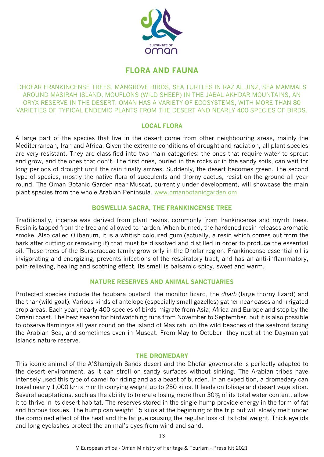

### **FLORA AND FAUNA**

DHOFAR FRANKINCENSE TREES, MANGROVE BIRDS, SEA TURTLES IN RAZ AL JINZ, SEA MAMMALS AROUND MASIRAH ISLAND, MOUFLONS (WILD SHEEP) IN THE JABAL AKHDAR MOUNTAINS, AN ORYX RESERVE IN THE DESERT: OMAN HAS A VARIETY OF ECOSYSTEMS, WITH MORE THAN 80 VARIETIES OF TYPICAL ENDEMIC PLANTS FROM THE DESERT AND NEARLY 400 SPECIES OF BIRDS.

#### **LOCAL FLORA**

A large part of the species that live in the desert come from other neighbouring areas, mainly the Mediterranean, Iran and Africa. Given the extreme conditions of drought and radiation, all plant species are very resistant. They are classified into two main categories: the ones that require water to sprout and grow, and the ones that don't. The first ones, buried in the rocks or in the sandy soils, can wait for long periods of drought until the rain finally arrives. Suddenly, the desert becomes green. The second type of species, mostly the native flora of succulents and thorny cactus, resist on the ground all year round. The Oman Botanic Garden near Muscat, currently under development, will showcase the main plant species from the whole Arabian Peninsula. [www.omanbotanicgarden.om](http://www.omanbotanicgarden.om/)

#### **BOSWELLIA SACRA, THE FRANKINCENSE TREE**

Traditionally, incense was derived from plant resins, commonly from frankincense and myrrh trees. Resin is tapped from the tree and allowed to harden. When burned, the hardened resin releases aromatic smoke. Also called Olibanum, it is a whitish coloured gum (actually, a resin which comes out from the bark after cutting or removing it) that must be dissolved and distilled in order to produce the essential oil. These trees of the Burseraceae family grow only in the Dhofar region. Frankincense essential oil is invigorating and energizing, prevents infections of the respiratory tract, and has an anti-inflammatory, pain-relieving, healing and soothing effect. Its smell is balsamic-spicy, sweet and warm.

#### **NATURE RESERVES AND ANIMAL SANCTUARIES**

Protected species include the houbara bustard, the monitor lizard, the *dharb* (large thorny lizard) and the thar (wild goat). Various kinds of antelope (especially small gazelles) gather near oases and irrigated crop areas. Each year, nearly 400 species of birds migrate from Asia, Africa and Europe and stop by the Omani coast. The best season for birdwatching runs from November to September, but it is also possible to observe flamingos all year round on the island of Masirah, on the wild beaches of the seafront facing the Arabian Sea, and sometimes even in Muscat. From May to October, they nest at the Daymaniyat Islands nature reserve.

#### **THE DROMEDARY**

This iconic animal of the A'Sharqiyah Sands desert and the Dhofar governorate is perfectly adapted to the desert environment, as it can stroll on sandy surfaces without sinking. The Arabian tribes have intensely used this type of camel for riding and as a beast of burden. In an expedition, a dromedary can travel nearly 1,000 km a month carrying weight up to 250 kilos. It feeds on foliage and desert vegetation. Several adaptations, such as the ability to tolerate losing more than 30% of its total water content, allow it to thrive in its desert habitat. The reserves stored in the single hump provide energy in the form of fat and fibrous tissues. The hump can weight 15 kilos at the beginning of the trip but will slowly melt under the combined effect of the heat and the fatigue causing the regular loss of its total weight. Thick eyelids and long eyelashes protect the animal's eyes from wind and sand.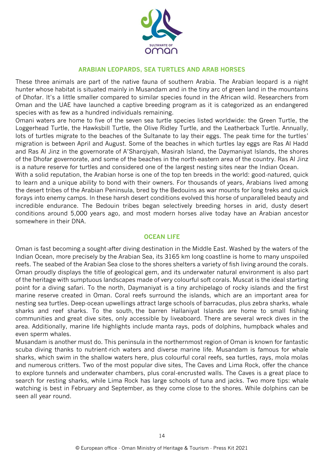

#### **ARABIAN LEOPARDS, SEA TURTLES AND ARAB HORSES**

These three animals are part of the native fauna of southern Arabia. The Arabian leopard is a night hunter whose habitat is situated mainly in Musandam and in the tiny arc of green land in the mountains of Dhofar. It's a little smaller compared to similar species found in the African wild. Researchers from Oman and the UAE have launched a captive breeding program as it is categorized as an endangered species with as few as a hundred individuals remaining.

Omani waters are home to five of the seven sea turtle species listed worldwide: the Green Turtle, the Loggerhead Turtle, the Hawksbill Turtle, the Olive Ridley Turtle, and the Leatherback Turtle. Annually, lots of turtles migrate to the beaches of the Sultanate to lay their eggs. The peak time for the turtles' migration is between April and August. Some of the beaches in which turtles lay eggs are Ras Al Hadd and Ras Al Jinz in the governorate of A'Sharqiyah, Masirah Island, the Daymaniyat Islands, the shores of the Dhofar governorate, and some of the beaches in the north-eastern area of the country. Ras Al Jinz is a nature reserve for turtles and considered one of the largest nesting sites near the Indian Ocean.

With a solid reputation, the Arabian horse is one of the top ten breeds in the world: good-natured, quick to learn and a unique ability to bond with their owners. For thousands of years, Arabians lived among the desert tribes of the Arabian Peninsula, bred by the Bedouins as war mounts for long treks and quick forays into enemy camps. In these harsh desert conditions evolved this horse of unparalleled beauty and incredible endurance. The Bedouin tribes began selectively breeding horses in arid, dusty desert conditions around 5,000 years ago, and most modern horses alive today have an Arabian ancestor somewhere in their DNA.

#### **OCEAN LIFE**

Oman is fast becoming a sought-after diving destination in the Middle East. Washed by the waters of the Indian Ocean, more precisely by the Arabian Sea, its 3165 km long coastline is home to many unspoiled reefs. The seabed of the Arabian Sea close to the shores shelters a variety of fish living around the corals. Oman proudly displays the title of geological gem, and its underwater natural environment is also part of the heritage with sumptuous landscapes made of very colourful soft corals. Muscat is the ideal starting point for a diving safari. To the north, Daymaniyat is a tiny archipelago of rocky islands and the first marine reserve created in Oman. Coral reefs surround the islands, which are an important area for nesting sea turtles. Deep-ocean upwellings attract large schools of barracudas, plus zebra sharks, whale sharks and reef sharks. To the south, the barren Hallaniyat Islands are home to small fishing communities and great dive sites, only accessible by liveaboard. There are several wreck dives in the area. Additionally, marine life highlights include manta rays, pods of dolphins, humpback whales and even sperm whales.

Musandam is another must do. This peninsula in the northernmost region of Oman is known for fantastic scuba diving thanks to nutrient-rich waters and diverse marine life. Musandam is famous for whale sharks, which swim in the shallow waters here, plus colourful coral reefs, sea turtles, rays, mola molas and numerous critters. Two of the most popular dive sites, The Caves and Lima Rock, offer the chance to explore tunnels and underwater chambers, plus coral-encrusted walls. The Caves is a great place to search for resting sharks, while Lima Rock has large schools of tuna and jacks. Two more tips: whale watching is best in February and September, as they come close to the shores. While dolphins can be seen all year round.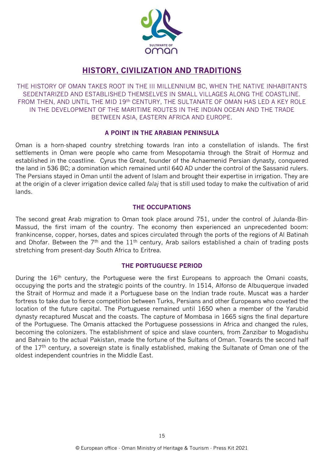

### **HISTORY, CIVILIZATION AND TRADITIONS**

THE HISTORY OF OMAN TAKES ROOT IN THE III MILLENNIUM BC, WHEN THE NATIVE INHABITANTS SEDENTARIZED AND ESTABLISHED THEMSELVES IN SMALL VILLAGES ALONG THE COASTLINE. FROM THEN, AND UNTIL THE MID 19<sup>th</sup> CENTURY, THE SULTANATE OF OMAN HAS LED A KEY ROLE IN THE DEVELOPMENT OF THE MARITIME ROUTES IN THE INDIAN OCEAN AND THE TRADE BETWEEN ASIA, EASTERN AFRICA AND EUROPE.

#### **A POINT IN THE ARABIAN PENINSULA**

Oman is a horn-shaped country stretching towards Iran into a constellation of islands. The first settlements in Oman were people who came from Mesopotamia through the Strait of Hormuz and established in the coastline. Cyrus the Great, founder of the Achaemenid Persian dynasty, conquered the land in 536 BC; a domination which remained until 640 AD under the control of the Sassanid rulers. The Persians stayed in Oman until the advent of Islam and brought their expertise in irrigation. They are at the origin of a clever irrigation device called *falaj* that is still used today to make the cultivation of arid lands.

#### **THE OCCUPATIONS**

The second great Arab migration to Oman took place around 751, under the control of Julanda-Bin-Massud, the first imam of the country. The economy then experienced an unprecedented boom: frankincense, copper, horses, dates and spices circulated through the ports of the regions of Al Batinah and Dhofar. Between the  $7<sup>th</sup>$  and the  $11<sup>th</sup>$  century, Arab sailors established a chain of trading posts stretching from present-day South Africa to Eritrea.

#### **THE PORTUGUESE PERIOD**

During the 16<sup>th</sup> century, the Portuguese were the first Europeans to approach the Omani coasts, occupying the ports and the strategic points of the country. In 1514, Alfonso de Albuquerque invaded the Strait of Hormuz and made it a Portuguese base on the Indian trade route. Muscat was a harder fortress to take due to fierce competition between Turks, Persians and other Europeans who coveted the location of the future capital. The Portuguese remained until 1650 when a member of the Yarubid dynasty recaptured Muscat and the coasts. The capture of Mombasa in 1665 signs the final departure of the Portuguese. The Omanis attacked the Portuguese possessions in Africa and changed the rules, becoming the colonizers. The establishment of spice and slave counters, from Zanzibar to Mogadishu and Bahrain to the actual Pakistan, made the fortune of the Sultans of Oman. Towards the second half of the 17<sup>th</sup> century, a sovereign state is finally established, making the Sultanate of Oman one of the oldest independent countries in the Middle East.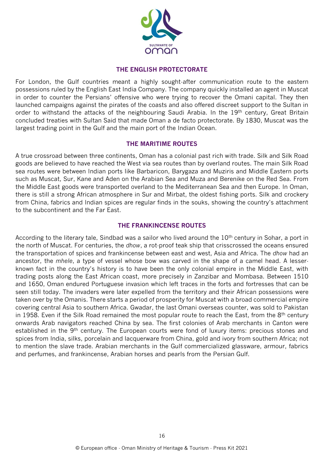

#### **THE ENGLISH PROTECTORATE**

For London, the Gulf countries meant a highly sought-after communication route to the eastern possessions ruled by the English East India Company. The company quickly installed an agent in Muscat in order to counter the Persians' offensive who were trying to recover the Omani capital. They then launched campaigns against the pirates of the coasts and also offered discreet support to the Sultan in order to withstand the attacks of the neighbouring Saudi Arabia. In the 19<sup>th</sup> century, Great Britain concluded treaties with Sultan Said that made Oman a de facto protectorate. By 1830, Muscat was the largest trading point in the Gulf and the main port of the Indian Ocean.

#### **THE MARITIME ROUTES**

A true crossroad between three continents, Oman has a colonial past rich with trade. Silk and Silk Road goods are believed to have reached the West via sea routes than by overland routes. The main Silk Road sea routes were between Indian ports like Barbaricon, Barygaza and Muziris and Middle Eastern ports such as Muscat, Sur, Kane and Aden on the Arabian Sea and Muza and Berenike on the Red Sea. From the Middle East goods were transported overland to the Mediterranean Sea and then Europe. In Oman, there is still a strong African atmosphere in Sur and Mirbat, the oldest fishing ports. Silk and crockery from China, fabrics and Indian spices are regular finds in the souks, showing the country's attachment to the subcontinent and the Far East.

#### **THE FRANKINCENSE ROUTES**

According to the literary tale, Sindbad was a sailor who lived around the 10<sup>th</sup> century in Sohar, a port in the north of Muscat. For centuries, the *dhow*, a rot-proof teak ship that crisscrossed the oceans ensured the transportation of spices and frankincense between east and west, Asia and Africa. The *dhow* had an ancestor, the *mhele*, a type of vessel whose bow was carved in the shape of a camel head. A lesserknown fact in the country's history is to have been the only colonial empire in the Middle East, with trading posts along the East African coast, more precisely in Zanzibar and Mombasa. Between 1510 and 1650, Oman endured Portuguese invasion which left traces in the forts and fortresses that can be seen still today. The invaders were later expelled from the territory and their African possessions were taken over by the Omanis. There starts a period of prosperity for Muscat with a broad commercial empire covering central Asia to southern Africa. Gwadar, the last Omani overseas counter, was sold to Pakistan in 1958. Even if the Silk Road remained the most popular route to reach the East, from the 8<sup>th</sup> century onwards Arab navigators reached China by sea. The first colonies of Arab merchants in Canton were established in the 9<sup>th</sup> century. The European courts were fond of luxury items: precious stones and spices from India, silks, porcelain and lacquerware from China, gold and ivory from southern Africa; not to mention the slave trade. Arabian merchants in the Gulf commercialized glassware, armour, fabrics and perfumes, and frankincense, Arabian horses and pearls from the Persian Gulf.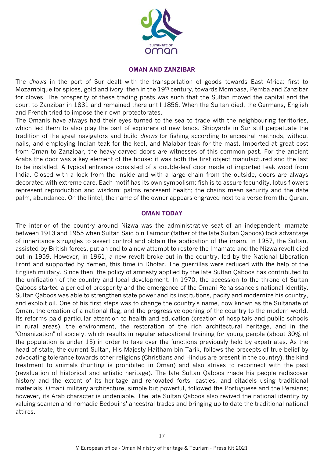

#### **OMAN AND ZANZIBAR**

The *dhows* in the port of Sur dealt with the transportation of goods towards East Africa: first to Mozambique for spices, gold and ivory, then in the 19<sup>th</sup> century, towards Mombasa, Pemba and Zanzibar for cloves. The prosperity of these trading posts was such that the Sultan moved the capital and the court to Zanzibar in 1831 and remained there until 1856. When the Sultan died, the Germans, English and French tried to impose their own protectorates.

The Omanis have always had their eyes turned to the sea to trade with the neighbouring territories, which led them to also play the part of explorers of new lands. Shipyards in Sur still perpetuate the tradition of the great navigators and build *dhows* for fishing according to ancestral methods, without nails, and employing Indian teak for the keel, and Malabar teak for the mast. Imported at great cost from Oman to Zanzibar, the heavy carved doors are witnesses of this common past. For the ancient Arabs the door was a key element of the house: it was both the first object manufactured and the last to be installed. A typical entrance consisted of a double-leaf door made of imported teak wood from India. Closed with a lock from the inside and with a large chain from the outside, doors are always decorated with extreme care. Each motif has its own symbolism: fish is to assure fecundity, lotus flowers represent reproduction and wisdom; palms represent health; the chains mean security and the date palm, abundance. On the lintel, the name of the owner appears engraved next to a verse from the Quran.

#### **OMAN TODAY**

The interior of the country around Nizwa was the administrative seat of an independent imamate between 1913 and 1955 when Sultan Said bin Taimour (father of the late Sultan Qaboos) took advantage of inheritance struggles to assert control and obtain the abdication of the imam. In 1957, the Sultan, assisted by British forces, put an end to a new attempt to restore the Imamate and the Nizwa revolt died out in 1959. However, in 1961, a new revolt broke out in the country, led by the National Liberation Front and supported by Yemen, this time in Dhofar. The guerrillas were reduced with the help of the English military. Since then, the policy of amnesty applied by the late Sultan Qaboos has contributed to the unification of the country and local development. In 1970, the accession to the throne of Sultan Qaboos started a period of prosperity and the emergence of the Omani Renaissance's national identity. Sultan Qaboos was able to strengthen state power and its institutions, pacify and modernize his country, and exploit oil. One of his first steps was to change the country's name, now known as the Sultanate of Oman, the creation of a national flag, and the progressive opening of the country to the modern world. Its reforms paid particular attention to health and education (creation of hospitals and public schools in rural areas), the environment, the restoration of the rich architectural heritage, and in the "Omanization" of society, which results in regular educational training for young people (about 30% of the population is under 15) in order to take over the functions previously held by expatriates. As the head of state, the current Sultan, His Majesty Haitham bin Tarik, follows the precepts of true belief by advocating tolerance towards other religions (Christians and Hindus are present in the country), the kind treatment to animals (hunting is prohibited in Oman) and also strives to reconnect with the past (revaluation of historical and artistic heritage). The late Sultan Qaboos made his people rediscover history and the extent of its heritage and renovated forts, castles, and citadels using traditional materials. Omani military architecture, simple but powerful, followed the Portuguese and the Persians; however, its Arab character is undeniable. The late Sultan Qaboos also revived the national identity by valuing seamen and nomadic Bedouins' ancestral trades and bringing up to date the traditional national attires.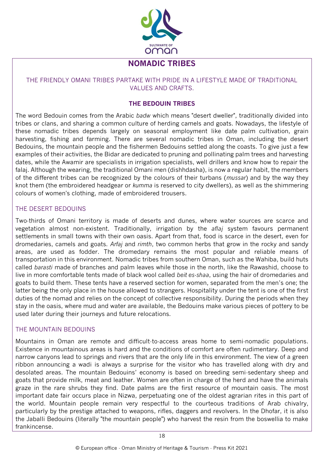

### **NOMADIC TRIBES**

#### THE FRIENDLY OMANI TRIBES PARTAKE WITH PRIDE IN A LIFESTYLE MADE OF TRADITIONAL VALUES AND CRAFTS.

#### **THE BEDOUIN TRIBES**

The word Bedouin comes from the Arabic *badw* which means "desert dweller", traditionally divided into tribes or clans, and sharing a common culture of herding camels and goats. Nowadays, the lifestyle of these nomadic tribes depends largely on seasonal employment like date palm cultivation, grain harvesting, fishing and farming. There are several nomadic tribes in Oman, including the desert Bedouins, the mountain people and the fishermen Bedouins settled along the coasts. To give just a few examples of their activities, the Bidar are dedicated to pruning and pollinating palm trees and harvesting dates, while the Awamir are specialists in irrigation specialists, well drillers and know how to repair the falaj. Although the wearing, the traditional Omani men (dishhdasha), is now a regular habit, the members of the different tribes can be recognized by the colours of their turbans (*mussar*) and by the way they knot them (the embroidered headgear or *kumma* is reserved to city dwellers), as well as the shimmering colours of women's clothing, made of embroidered trousers.

#### THE DESERT BEDOUINS

Two-thirds of Omani territory is made of deserts and dunes, where water sources are scarce and vegetation almost non-existent. Traditionally, irrigation by the *aflaj* system favours permanent settlements in small towns with their own oasis. Apart from that, food is scarce in the desert, even for dromedaries, camels and goats. *Arfaj* and *rimth*, two common herbs that grow in the rocky and sandy areas, are used as fodder. The dromedary remains the most popular and reliable means of transportation in this environment. Nomadic tribes from southern Oman, such as the Wahiba, build huts called *barasti* made of branches and palm leaves while those in the north, like the Rawashid, choose to live in more comfortable tents made of black wool called *beit es-shaa*, using the hair of dromedaries and goats to build them. These tents have a reserved section for women, separated from the men's one; the latter being the only place in the house allowed to strangers. Hospitality under the tent is one of the first duties of the nomad and relies on the concept of collective responsibility. During the periods when they stay in the oasis, where mud and water are available, the Bedouins make various pieces of pottery to be used later during their journeys and future relocations.

#### THE MOUNTAIN BEDOUINS

Mountains in Oman are remote and difficult-to-access areas home to semi-nomadic populations. Existence in mountainous areas is hard and the conditions of comfort are often rudimentary. Deep and narrow canyons lead to springs and rivers that are the only life in this environment. The view of a green ribbon announcing a wadi is always a surprise for the visitor who has travelled along with dry and desolated areas. The mountain Bedouins' economy is based on breeding semi-sedentary sheep and goats that provide milk, meat and leather. Women are often in charge of the herd and have the animals graze in the rare shrubs they find. Date palms are the first resource of mountain oasis. The most important date fair occurs place in Nizwa, perpetuating one of the oldest agrarian rites in this part of the world. Mountain people remain very respectful to the courteous traditions of Arab chivalry, particularly by the prestige attached to weapons, rifles, daggers and revolvers. In the Dhofar, it is also the Jaballi Bedouins (literally "the mountain people") who harvest the resin from the boswellia to make frankincense.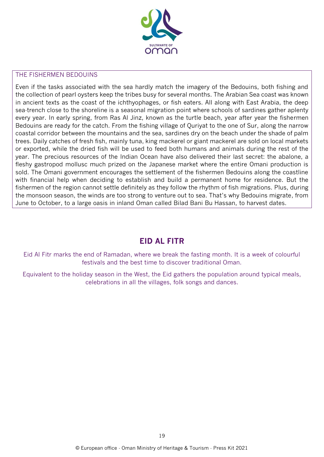

#### THE FISHERMEN BEDOUINS

Even if the tasks associated with the sea hardly match the imagery of the Bedouins, both fishing and the collection of pearl oysters keep the tribes busy for several months. The Arabian Sea coast was known in ancient texts as the coast of the ichthyophages, or fish eaters. All along with East Arabia, the deep sea-trench close to the shoreline is a seasonal migration point where schools of sardines gather aplenty every year. In early spring, from Ras Al Jinz, known as the turtle beach, year after year the fishermen Bedouins are ready for the catch. From the fishing village of Quriyat to the one of Sur, along the narrow coastal corridor between the mountains and the sea, sardines dry on the beach under the shade of palm trees. Daily catches of fresh fish, mainly tuna, king mackerel or giant mackerel are sold on local markets or exported, while the dried fish will be used to feed both humans and animals during the rest of the year. The precious resources of the Indian Ocean have also delivered their last secret: the abalone, a fleshy gastropod mollusc much prized on the Japanese market where the entire Omani production is sold. The Omani government encourages the settlement of the fishermen Bedouins along the coastline with financial help when deciding to establish and build a permanent home for residence. But the fishermen of the region cannot settle definitely as they follow the rhythm of fish migrations. Plus, during the monsoon season, the winds are too strong to venture out to sea. That's why Bedouins migrate, from June to October, to a large oasis in inland Oman called Bilad Bani Bu Hassan, to harvest dates.

### **EID AL FITR**

Eid Al Fitr marks the end of Ramadan, where we break the fasting month. It is a week of colourful festivals and the best time to discover traditional Oman.

Equivalent to the holiday season in the West, the Eid gathers the population around typical meals, celebrations in all the villages, folk songs and dances.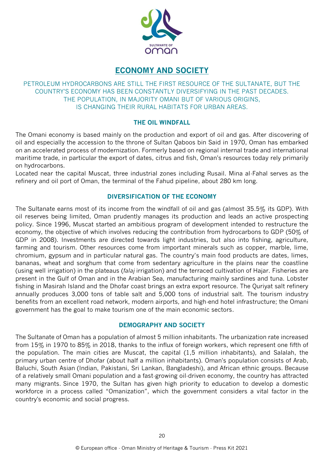

### **ECONOMY AND SOCIETY**

PETROLEUM HYDROCARBONS ARE STILL THE FIRST RESOURCE OF THE SULTANATE, BUT THE COUNTRY'S ECONOMY HAS BEEN CONSTANTLY DIVERSIFYING IN THE PAST DECADES. THE POPULATION, IN MAJORITY OMANI BUT OF VARIOUS ORIGINS, IS CHANGING THEIR RURAL HABITATS FOR URBAN AREAS.

#### **THE OIL WINDFALL**

The Omani economy is based mainly on the production and export of oil and gas. After discovering of oil and especially the accession to the throne of Sultan Qaboos bin Said in 1970, Oman has embarked on an accelerated process of modernization. Formerly based on regional internal trade and international maritime trade, in particular the export of dates, citrus and fish, Oman's resources today rely primarily on hydrocarbons.

Located near the capital Muscat, three industrial zones including Rusail. Mina al-Fahal serves as the refinery and oil port of Oman, the terminal of the Fahud pipeline, about 280 km long.

#### **DIVERSIFICATION OF THE ECONOMY**

The Sultanate earns most of its income from the windfall of oil and gas (almost 35.5% its GDP). With oil reserves being limited, Oman prudently manages its production and leads an active prospecting policy. Since 1996, Muscat started an ambitious program of development intended to restructure the economy, the objective of which involves reducing the contribution from hydrocarbons to GDP (50% of GDP in 2008). Investments are directed towards light industries, but also into fishing, agriculture, farming and tourism. Other resources come from important minerals such as copper, marble, lime, chromium, gypsum and in particular natural gas. The country's main food products are dates, limes, bananas, wheat and sorghum that come from sedentary agriculture in the plains near the coastline (using well irrigation) in the plateaus (*falaj* irrigation) and the terraced cultivation of Hajar. Fisheries are present in the Gulf of Oman and in the Arabian Sea, manufacturing mainly sardines and tuna. Lobster fishing in Masirah Island and the Dhofar coast brings an extra export resource. The Quriyat salt refinery annually produces 3,000 tons of table salt and 5,000 tons of industrial salt. The tourism industry benefits from an excellent road network, modern airports, and high-end hotel infrastructure; the Omani government has the goal to make tourism one of the main economic sectors.

#### **DEMOGRAPHY AND SOCIETY**

The Sultanate of Oman has a population of almost 5 million inhabitants. The urbanization rate increased from 15% in 1970 to 85% in 2018, thanks to the influx of foreign workers, which represent one fifth of the population. The main cities are Muscat, the capital (1,5 million inhabitants), and Salalah, the primary urban centre of Dhofar (about half a million inhabitants). Oman's population consists of Arab, Baluchi, South Asian (Indian, Pakistani, Sri Lankan, Bangladeshi), and African ethnic groups. Because of a relatively small Omani population and a fast-growing oil-driven economy, the country has attracted many migrants. Since 1970, the Sultan has given high priority to education to develop a domestic workforce in a process called "Omanization", which the government considers a vital factor in the country's economic and social progress.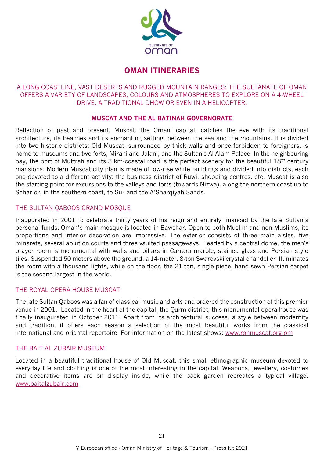

### **OMAN ITINERARIES**

#### A LONG COASTLINE, VAST DESERTS AND RUGGED MOUNTAIN RANGES: THE SULTANATE OF OMAN OFFERS A VARIETY OF LANDSCAPES, COLOURS AND ATMOSPHERES TO EXPLORE ON A 4-WHEEL DRIVE, A TRADITIONAL DHOW OR EVEN IN A HELICOPTER.

#### **MUSCAT AND THE AL BATINAH GOVERNORATE**

Reflection of past and present, Muscat, the Omani capital, catches the eye with its traditional architecture, its beaches and its enchanting setting, between the sea and the mountains. It is divided into two historic districts: Old Muscat, surrounded by thick walls and once forbidden to foreigners, is home to museums and two forts, Mirani and Jalani, and the Sultan's Al Alam Palace. In the neighbouring bay, the port of Muttrah and its 3 km-coastal road is the perfect scenery for the beautiful 18<sup>th</sup> century mansions. Modern Muscat city plan is made of low-rise white buildings and divided into districts, each one devoted to a different activity: the business district of Ruwi, shopping centres, etc. Muscat is also the starting point for excursions to the valleys and forts (towards Nizwa), along the northern coast up to Sohar or, in the southern coast, to Sur and the A'Sharqiyah Sands.

#### THE SULTAN QABOOS GRAND MOSQUE

Inaugurated in 2001 to celebrate thirty years of his reign and entirely financed by the late Sultan's personal funds, Oman's main mosque is located in Bawshar. Open to both Muslim and non-Muslims, its proportions and interior decoration are impressive. The exterior consists of three main aisles, five minarets, several ablution courts and three vaulted passageways. Headed by a central dome, the men's prayer room is monumental with walls and pillars in Carrara marble, stained glass and Persian style tiles. Suspended 50 meters above the ground, a 14-meter, 8-ton Swarovski crystal chandelier illuminates the room with a thousand lights, while on the floor, the 21-ton, single-piece, hand-sewn Persian carpet is the second largest in the world.

#### THE ROYAL OPERA HOUSE MUSCAT

The late Sultan Qaboos was a fan of classical music and arts and ordered the construction of this premier venue in 2001. Located in the heart of the capital, the Qurm district, this monumental opera house was finally inaugurated in October 2011. Apart from its architectural success, a style between modernity and tradition, it offers each season a selection of the most beautiful works from the classical international and oriental repertoire. For information on the latest shows:<www.rohmuscat.org.om>

#### THE BAIT AL ZUBAIR MUSEUM

Located in a beautiful traditional house of Old Muscat, this small ethnographic museum devoted to everyday life and clothing is one of the most interesting in the capital. Weapons, jewellery, costumes and decorative items are on display inside, while the back garden recreates a typical village. [www.baitalzubair.com](http://www.baitalzubair.com/)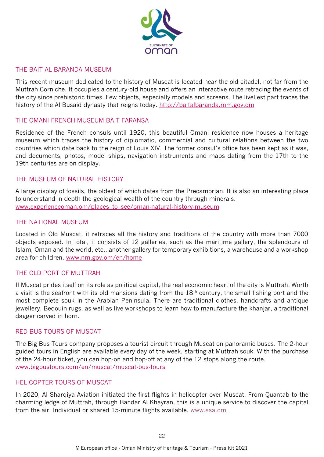

#### THE BAIT AL BARANDA MUSEUM

This recent museum dedicated to the history of Muscat is located near the old citadel, not far from the Muttrah Corniche. It occupies a century-old house and offers an interactive route retracing the events of the city since prehistoric times. Few objects, especially models and screens. The liveliest part traces the history of the Al Busaid dynasty that reigns today. [http://baitalbaranda.mm.gov.om](http://baitalbaranda.mm.gov.om/)

#### THE OMANI FRENCH MUSEUM BAIT FARANSA

Residence of the French consuls until 1920, this beautiful Omani residence now houses a heritage museum which traces the history of diplomatic, commercial and cultural relations between the two countries which date back to the reign of Louis XIV. The former consul's office has been kept as it was, and documents, photos, model ships, navigation instruments and maps dating from the 17th to the 19th centuries are on display.

#### THE MUSEUM OF NATURAL HISTORY

A large display of fossils, the oldest of which dates from the Precambrian. It is also an interesting place to understand in depth the geological wealth of the country through minerals. [www.experienceoman.om/places\\_to\\_see/oman-natural-history-museum](http://www.experienceoman.om/places_to_see/oman-natural-history-museum)

#### THE NATIONAL MUSEUM

Located in Old Muscat, it retraces all the history and traditions of the country with more than 7000 objects exposed. In total, it consists of 12 galleries, such as the maritime gallery, the splendours of Islam, Oman and the world, etc., another gallery for temporary exhibitions, a warehouse and a workshop area for children. [www.nm.gov.om/en/home](http://www.nm.gov.om/en/home)

#### THE OLD PORT OF MUTTRAH

If Muscat prides itself on its role as political capital, the real economic heart of the city is Muttrah. Worth a visit is the seafront with its old mansions dating from the 18<sup>th</sup> century, the small fishing port and the most complete souk in the Arabian Peninsula. There are traditional clothes, handcrafts and antique jewellery, Bedouin rugs, as well as live workshops to learn how to manufacture the khanjar, a traditional dagger carved in horn.

#### RED BUS TOURS OF MUSCAT

The Big Bus Tours company proposes a tourist circuit through Muscat on panoramic buses. The 2-hour guided tours in English are available every day of the week, starting at Muttrah souk. With the purchase of the 24-hour ticket, you can hop-on and hop-off at any of the 12 stops along the route. [www.bigbustours.com/en/muscat/muscat-bus-tours](http://www.bigbustours.com/en/muscat/muscat-bus-tours)

#### HELICOPTER TOURS OF MUSCAT

In 2020, Al Sharqiya Aviation initiated the first flights in helicopter over Muscat. From Quantab to the charming ledge of Muttrah, through Bandar Al Khayran, this is a unique service to discover the capital from the air. Individual or shared 15-minute flights available. [www.asa.om](http://www.asa.om/)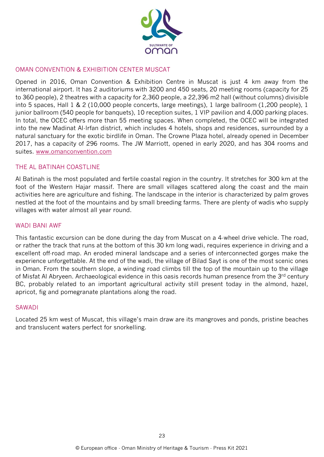

#### OMAN CONVENTION & EXHIBITION CENTER MUSCAT

Opened in 2016, Oman Convention & Exhibition Centre in Muscat is just 4 km away from the international airport. It has 2 auditoriums with 3200 and 450 seats, 20 meeting rooms (capacity for 25 to 360 people), 2 theatres with a capacity for 2,360 people, a 22,396 m2 hall (without columns) divisible into 5 spaces, Hall 1 & 2 (10,000 people concerts, large meetings), 1 large ballroom (1,200 people), 1 junior ballroom (540 people for banquets), 10 reception suites, 1 VIP pavilion and 4,000 parking places. In total, the OCEC offers more than 55 meeting spaces. When completed, the OCEC will be integrated into the new Madinat Al-Irfan district, which includes 4 hotels, shops and residences, surrounded by a natural sanctuary for the exotic birdlife in Oman. The Crowne Plaza hotel, already opened in December 2017, has a capacity of 296 rooms. The JW Marriott, opened in early 2020, and has 304 rooms and suites. [www.omanconvention.com](http://www.omanconvention.com/)

#### THE AL BATINAH COASTLINE

Al Batinah is the most populated and fertile coastal region in the country. It stretches for 300 km at the foot of the Western Hajar massif. There are small villages scattered along the coast and the main activities here are agriculture and fishing. The landscape in the interior is characterized by palm groves nestled at the foot of the mountains and by small breeding farms. There are plenty of wadis who supply villages with water almost all year round.

#### WADI BANI AWF

This fantastic excursion can be done during the day from Muscat on a 4-wheel drive vehicle. The road, or rather the track that runs at the bottom of this 30 km long wadi, requires experience in driving and a excellent off-road map. An eroded mineral landscape and a series of interconnected gorges make the experience unforgettable. At the end of the wadi, the village of Bilad Sayt is one of the most scenic ones in Oman. From the southern slope, a winding road climbs till the top of the mountain up to the village of Misfat Al Abryeen. Archaeological evidence in this oasis records human presence from the 3rd century BC, probably related to an important agricultural activity still present today in the almond, hazel, apricot, fig and pomegranate plantations along the road.

#### SAWADI

Located 25 km west of Muscat, this village's main draw are its mangroves and ponds, pristine beaches and translucent waters perfect for snorkelling.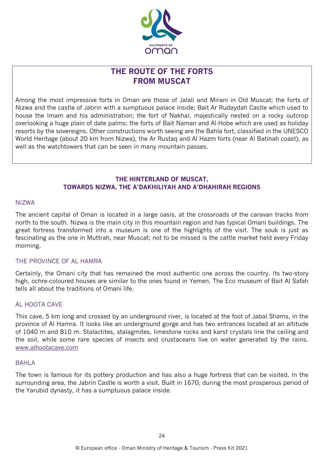

### **THE ROUTE OF THE FORTS FROM MUSCAT**

Among the most impressive forts in Oman are those of Jalali and Mirani in Old Muscat; the forts of Nizwa and the castle of Jabrin with a sumptuous palace inside; Bait Ar Rudaydah Castle which used to house the Imam and his administration; the fort of Nakhal, majestically nested on a rocky outcrop overlooking a huge plain of date palms; the forts of Bait Naman and Al-Hobe which are used as holiday resorts by the sovereigns. Other constructions worth seeing are the Bahla fort, classified in the UNESCO World Heritage (about 20 km from Nizwa), the Ar Rustaq and Al Hazm forts (near Al Batinah coast), as well as the watchtowers that can be seen in many mountain passes.

#### **THE HINTERLAND OF MUSCAT, TOWARDS NIZWA, THE A'DAKHILIYAH AND A'DHAHIRAH REGIONS**

#### NIZWA

The ancient capital of Oman is located in a large oasis, at the crossroads of the caravan tracks from north to the south. Nizwa is the main city in this mountain region and has typical Omani buildings. The great fortress transformed into a museum is one of the highlights of the visit. The souk is just as fascinating as the one in Muttrah, near Muscat; not to be missed is the cattle market held every Friday morning.

#### THE PROVINCE OF AL HAMRA

Certainly, the Omani city that has remained the most authentic one across the country. Its two-story high, ochre-coloured houses are similar to the ones found in Yemen. The Eco museum of Bait Al Safah tells all about the traditions of Omani life.

#### AL HOOTA CAVE

This cave, 5 km long and crossed by an underground river, is located at the foot of Jabal Shams, in the province of Al Hamra. It looks like an underground gorge and has two entrances located at an altitude of 1040 m and 810 m. Stalactites, stalagmites, limestone rocks and karst crystals line the ceiling and the soil, while some rare species of insects and crustaceans live on water generated by the rains. [www.alhootacave.com](http://www.alhootacave.com/)

#### BAHLA

The town is famous for its pottery production and has also a huge fortress that can be visited. In the surrounding area, the Jabrin Castle is worth a visit. Built in 1670, during the most prosperous period of the Yarubid dynasty, it has a sumptuous palace inside.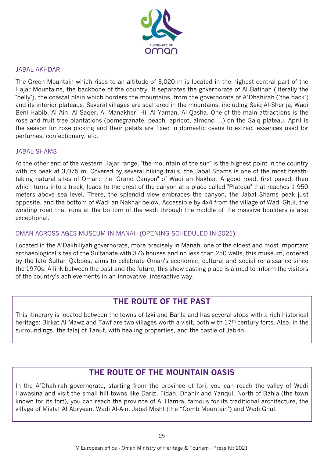

#### JABAL AKHDAR

The Green Mountain which rises to an altitude of 3,020 m is located in the highest central part of the Hajar Mountains, the backbone of the country. It separates the governorate of Al Batinah (literally the "belly"), the coastal plain which borders the mountains, from the governorate of A'Dhahirah ("the back") and its interior plateaus. Several villages are scattered in the mountains, including Seiq Al-Sherija, Wadi Beni Habib, Al Ain, Al Saqer, Al Manakher, Hil Al Yaman, Al Qasha. One of the main attractions is the rose and fruit tree plantations (pomegranate, peach, apricot, almond ...) on the Saiq plateau. April is the season for rose picking and their petals are fixed in domestic ovens to extract essences used for perfumes, confectionery, etc.

#### JABAL SHAMS

At the other end of the western Hajar range, "the mountain of the sun" is the highest point in the country with its peak at 3,075 m. Covered by several hiking trails, the Jabal Shams is one of the most breathtaking natural sites of Oman: the "Grand Canyon" of Wadi an Nakhar. A good road, first paved, then which turns into a track, leads to the crest of the canyon at a place called "Plateau" that reaches 1,950 meters above sea level. There, the splendid view embraces the canyon, the Jabal Shams peak just opposite, and the bottom of Wadi an Nakhar below. Accessible by 4x4 from the village of Wadi Ghul, the winding road that runs at the bottom of the wadi through the middle of the massive boulders is also exceptional.

#### OMAN ACROSS AGES MUSEUM IN MANAH (OPENING SCHEDULED IN 2021).

Located in the A'Dakhiliyah governorate, more precisely in Manah, one of the oldest and most important archaeological sites of the Sultanate with 376 houses and no less than 250 wells, this museum, ordered by the late Sultan Qaboos, aims to celebrate Oman's economic, cultural and social renaissance since the 1970s. A link between the past and the future, this show casting place is aimed to inform the visitors of the country's achievements in an innovative, interactive way.

### **THE ROUTE OF THE PAST**

This itinerary is located between the towns of Izki and Bahla and has several stops with a rich historical heritage: Birkat Al Mawz and Tawf are two villages worth a visit, both with 17<sup>th</sup> century forts. Also, in the surroundings, the falaj of Tanuf, with healing properties, and the castle of Jabrin.

### **THE ROUTE OF THE MOUNTAIN OASIS**

In the A'Dhahirah governorate, starting from the province of Ibri, you can reach the valley of Wadi Hawasina and visit the small hill towns like Dariz, Fidah, Dhahir and Yanqul. North of Bahla (the town known for its fort), you can reach the province of Al Hamra, famous for its traditional architecture, the village of Misfat Al Abryeen, Wadi Al-Ain, Jabal Misht (the "Comb Mountain") and Wadi Ghul.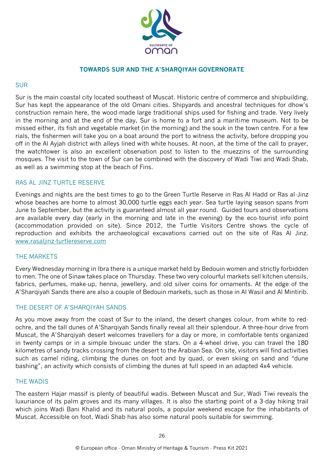

#### **TOWARDS SUR AND THE A'SHARQIYAH GOVERNORATE**

#### SUR

Sur is the main coastal city located southeast of Muscat. Historic centre of commerce and shipbuilding, Sur has kept the appearance of the old Omani cities. Shipyards and ancestral techniques for dhow's construction remain here, the wood-made large traditional ships used for fishing and trade. Very lively in the morning and at the end of the day, Sur is home to a fort and a maritime museum. Not to be missed either, its fish and vegetable market (in the morning) and the souk in the town centre. For a few rials, the fishermen will take you on a boat around the port to witness the activity, before dropping you off in the Al Ayjah district with alleys lined with white houses. At noon, at the time of the call to prayer, the watchtower is also an excellent observation post to listen to the muezzins of the surrounding mosques. The visit to the town of Sur can be combined with the discovery of Wadi Tiwi and Wadi Shab, as well as a swimming stop at the beach of Fins.

#### RAS AL JINZ TURTLE RESERVE

Evenings and nights are the best times to go to the Green Turtle Reserve in Ras Al Hadd or Ras al-Jinz whose beaches are home to almost 30,000 turtle eggs each year. Sea turtle laying season spans from June to September, but the activity is guaranteed almost all year round. Guided tours and observations are available every day (early in the morning and late in the evening) by the eco-tourist info point (accommodation provided on site). Since 2012, the Turtle Visitors Centre shows the cycle of reproduction and exhibits the archaeological excavations carried out on the site of Ras Al Jinz. [www.rasaljinz-turtlereserve.com](http://www.rasaljinz-turtlereserve.com/)

#### THE MARKETS

Every Wednesday morning in Ibra there is a unique market held by Bedouin women and strictly forbidden to men. The one of Sinaw takes place on Thursday. These two very colourful markets sell kitchen utensils, fabrics, perfumes, make-up, henna, jewellery, and old silver coins for ornaments. At the edge of the A'Sharqiyah Sands there are also a couple of Bedouin markets, such as those in Al Wasil and Al Mintirib.

#### THE DESERT OF A'SHARQIYAH SANDS

As you move away from the coast of Sur to the inland, the desert changes colour, from white to redochre, and the tall dunes of A'Sharqiyah Sands finally reveal all their splendour. A three-hour drive from Muscat, the A'Sharqiyah desert welcomes travellers for a day or more, in comfortable tents organized in twenty camps or in a simple bivouac under the stars. On a 4-wheel drive, you can travel the 180 kilometres of sandy tracks crossing from the desert to the Arabian Sea. On site, visitors will find activities such as camel riding, climbing the dunes on foot and by quad, or even skiing on sand and "dune bashing", an activity which consists of climbing the dunes at full speed in an adapted 4x4 vehicle.

#### THE WADIS

The eastern Hajar massif is plenty of beautiful wadis. Between Muscat and Sur, Wadi Tiwi reveals the luxuriance of its palm groves and its many villages. It is also the starting point of a 3-day hiking trail which joins Wadi Bani Khalid and its natural pools, a popular weekend escape for the inhabitants of Muscat. Accessible on foot, Wadi Shab has also some natural pools suitable for swimming.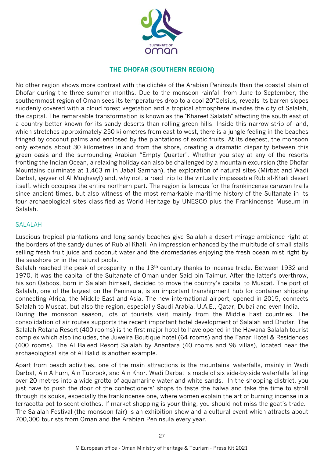

#### **THE DHOFAR (SOUTHERN REGION)**

No other region shows more contrast with the clichés of the Arabian Peninsula than the coastal plain of Dhofar during the three summer months. Due to the monsoon rainfall from June to September, the southernmost region of Oman sees its temperatures drop to a cool 20°Celsius, reveals its barren slopes suddenly covered with a cloud forest vegetation and a tropical atmosphere invades the city of Salalah, the capital. The remarkable transformation is known as the "Khareef Salalah" affecting the south east of a country better known for its sandy deserts than rolling green hills. Inside this narrow strip of land, which stretches approximately 250 kilometres from east to west, there is a jungle feeling in the beaches fringed by coconut palms and enclosed by the plantations of exotic fruits. At its deepest, the monsoon only extends about 30 kilometres inland from the shore, creating a dramatic disparity between this green oasis and the surrounding Arabian "Empty Quarter". Whether you stay at any of the resorts fronting the Indian Ocean, a relaxing holiday can also be challenged by a mountain excursion (the Dhofar Mountains culminate at 1,463 m in Jabal Samhan), the exploration of natural sites (Mirbat and Wadi Darbat, geyser of Al Mughsayl) and, why not, a road trip to the virtually impassable Rub al-Khali desert itself, which occupies the entire northern part. The region is famous for the frankincense caravan trails since ancient times, but also witness of the most remarkable maritime history of the Sultanate in its four archaeological sites classified as World Heritage by UNESCO plus the Frankincense Museum in Salalah.

#### SALALAH

Luscious tropical plantations and long sandy beaches give Salalah a desert mirage ambiance right at the borders of the sandy dunes of Rub-al Khali. An impression enhanced by the multitude of small stalls selling fresh fruit juice and coconut water and the dromedaries enjoying the fresh ocean mist right by the seashore or in the natural pools.

Salalah reached the peak of prosperity in the 13<sup>th</sup> century thanks to incense trade. Between 1932 and 1970, it was the capital of the Sultanate of Oman under Said bin Taimur. After the latter's overthrow, his son Qaboos, born in Salalah himself, decided to move the country's capital to Muscat. The port of Salalah, one of the largest on the Peninsula, is an important transhipment hub for container shipping connecting Africa, the Middle East and Asia. The new international airport, opened in 2015, connects Salalah to Muscat, but also the region, especially Saudi Arabia, U.A.E., Qatar, Dubai and even India. During the monsoon season, lots of tourists visit mainly from the Middle East countries. The

consolidation of air routes supports the recent important hotel development of Salalah and Dhofar. The Salalah Rotana Resort (400 rooms) is the first major hotel to have opened in the Hawana Salalah tourist complex which also includes, the Juweira Boutique hotel (64 rooms) and the Fanar Hotel & Residences (400 rooms). The Al Baleed Resort Salalah by Anantara (40 rooms and 96 villas), located near the archaeological site of Al Balid is another example.

Apart from beach activities, one of the main attractions is the mountains' waterfalls, mainly in Wadi Darbat, Ain Athum, Ain Tubrook, and Ain Khor. Wadi Darbat is made of six side-by-side waterfalls falling over 20 metres into a wide grotto of aquamarine water and white sands. In the shopping district, you just have to push the door of the confectioners' shops to taste the halwa and take the time to stroll through its souks, especially the frankincense one, where women explain the art of burning incense in a terracotta pot to scent clothes. If market shopping is your thing, you should not miss the goat's trade. The Salalah Festival (the monsoon fair) is an exhibition show and a cultural event which attracts about 700,000 tourists from Oman and the Arabian Peninsula every year.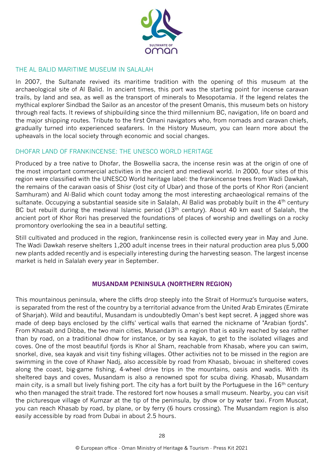

#### THE AL BALID MARITIME MUSEUM IN SALALAH

In 2007, the Sultanate revived its maritime tradition with the opening of this museum at the archaeological site of Al Balid. In ancient times, this port was the starting point for incense caravan trails, by land and sea, as well as the transport of minerals to Mesopotamia. If the legend relates the mythical explorer Sindbad the Sailor as an ancestor of the present Omanis, this museum bets on history through real facts. It reviews of shipbuilding since the third millennium BC, navigation, life on board and the major shipping routes. Tribute to the first Omani navigators who, from nomads and caravan chiefs, gradually turned into experienced seafarers. In the History Museum, you can learn more about the upheavals in the local society through economic and social changes.

#### DHOFAR LAND OF FRANKINCENSE: THE UNESCO WORLD HERITAGE

Produced by a tree native to Dhofar, the Boswellia sacra, the incense resin was at the origin of one of the most important commercial activities in the ancient and medieval world. In 2000, four sites of this region were classified with the UNESCO World heritage label: the frankincense trees from Wadi Dawkah, the remains of the caravan oasis of Shisr (lost city of Ubar) and those of the ports of Khor Rori (ancient Samhuram) and Al-Balid which count today among the most interesting archaeological remains of the sultanate. Occupying a substantial seaside site in Salalah, Al Balid was probably built in the 4<sup>th</sup> century BC but rebuilt during the medieval Islamic period (13<sup>th</sup> century). About 40 km east of Salalah, the ancient port of Khor Rori has preserved the foundations of places of worship and dwellings on a rocky promontory overlooking the sea in a beautiful setting.

Still cultivated and produced in the region, frankincense resin is collected every year in May and June. The Wadi Dawkah reserve shelters 1,200 adult incense trees in their natural production area plus 5,000 new plants added recently and is especially interesting during the harvesting season. The largest incense market is held in Salalah every year in September.

#### **MUSANDAM PENINSULA (NORTHERN REGION)**

This mountainous peninsula, where the cliffs drop steeply into the Strait of Hormuz's turquoise waters, is separated from the rest of the country by a territorial advance from the United Arab Emirates (Emirate of Sharjah). Wild and beautiful, Musandam is undoubtedly Oman's best kept secret. A jagged shore was made of deep bays enclosed by the cliffs' vertical walls that earned the nickname of "Arabian fjords". From Khasab and Dibba, the two main cities, Musandam is a region that is easily reached by sea rather than by road, on a traditional dhow for instance, or by sea kayak, to get to the isolated villages and coves. One of the most beautiful fjords is Khor al Sham, reachable from Khasab, where you can swim, snorkel, dive, sea kayak and visit tiny fishing villages. Other activities not to be missed in the region are swimming in the cove of Khawr Nadj, also accessible by road from Khasab, bivouac in sheltered coves along the coast, big-game fishing, 4-wheel drive trips in the mountains, oasis and wadis. With its sheltered bays and coves, Musandam is also a renowned spot for scuba diving. Khasab, Musandam main city, is a small but lively fishing port. The city has a fort built by the Portuguese in the 16<sup>th</sup> century who then managed the strait trade. The restored fort now houses a small museum. Nearby, you can visit the picturesque village of Kumzar at the tip of the peninsula, by dhow or by water taxi. From Muscat, you can reach Khasab by road, by plane, or by ferry (6 hours crossing). The Musandam region is also easily accessible by road from Dubai in about 2.5 hours.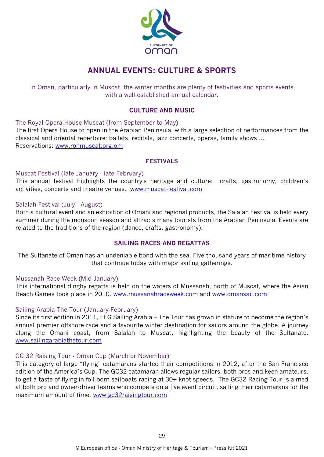

### **ANNUAL EVENTS: CULTURE & SPORTS**

In Oman, particularly in Muscat, the winter months are plenty of festivities and sports events with a well-established annual calendar.

#### **CULTURE AND MUSIC**

The Royal Opera House Muscat (from September to May)

The first Opera House to open in the Arabian Peninsula, with a large selection of performances from the classical and oriental repertoire: ballets, recitals, jazz concerts, operas, family shows ... Reservations: [www.rohmuscat.org.om](http://www.rohmuscat.org.om/)

#### **FESTIVALS**

#### Muscat Festival (late January - late February)

This annual festival highlights the country's heritage and culture: crafts, gastronomy, children's activities, concerts and theatre venues. [www.muscat-festival.com](http://www.muscat-festival.com/)

#### Salalah Festival (July - August)

Both a cultural event and an exhibition of Omani and regional products, the Salalah Festival is held every summer during the monsoon season and attracts many tourists from the Arabian Peninsula. Events are related to the traditions of the region (dance, crafts, gastronomy).

#### **SAILING RACES AND REGATTAS**

The Sultanate of Oman has an undeniable bond with the sea. Five thousand years of maritime history that continue today with major sailing gatherings.

#### Mussanah Race Week (Mid-January)

This international dinghy regatta is held on the waters of Mussanah, north of Muscat, where the Asian Beach Games took place in 2010. [www.mussanahraceweek.com](http://www.mussanahraceweek.com/) and [www.omansail.com](http://www.omansail.com/)

#### Sailing Arabia-The Tour (January-February)

Since its first edition in 2011, EFG Sailing Arabia – The Tour has grown in stature to become the region's annual premier offshore race and a favourite winter destination for sailors around the globe. A journey along the Omani coast, from Salalah to Muscat, highlighting the beauty of the Sultanate. [www.sailingarabiathetour.com](http://www.sailingarabiathetour.com/)

#### GC 32 Raising Tour - Oman Cup (March or November)

This category of large "flying" catamarans started their competitions in 2012, after the San Francisco edition of the America's Cup. The GC32 catamaran allows regular sailors, both pros and keen amateurs, to get a taste of flying in foil-born sailboats racing at 30+ knot speeds. The GC32 Racing Tour is aimed at both pro and owner-driver teams who compete on a [five event circuit,](http://www.gc32racingtour.com/events4/) sailing their catamarans for the maximum amount of time. [www.gc32raisingtour.com](http://www.gc32raisingtour.com/)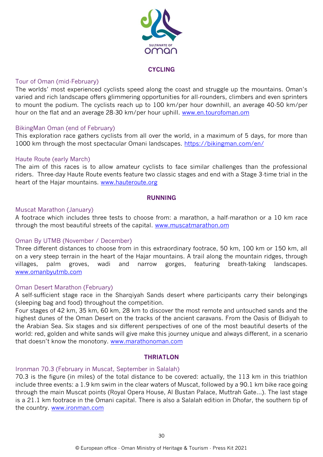

#### **CYCLING**

#### Tour of Oman (mid-February)

The worlds' most experienced cyclists speed along the coast and struggle up the mountains. Oman's varied and rich landscape offers glimmering opportunities for all-rounders, climbers and even sprinters to mount the podium. The cyclists reach up to 100 km/per hour downhill, an average 40-50 km/per hour on the flat and an average 28-30 km/per hour uphill. [www.en.tourofoman.om](http://www.en.tourofoman.om/)

#### BikingMan Oman (end of February)

This exploration race gathers cyclists from all over the world, in a maximum of 5 days, for more than 1000 km through the most spectacular Omani landscapes.<https://bikingman.com/en/>

#### Haute Route (early March)

The aim of this races is to allow amateur cyclists to face similar challenges than the professional riders. Three-day Haute Route events feature two classic stages and end with a Stage 3-time trial in the heart of the Hajar mountains. [www.hauteroute.org](http://www.hauteroute.org/)

#### **RUNNING**

#### Muscat Marathon (January)

A footrace which includes three tests to choose from: a marathon, a half-marathon or a 10 km race through the most beautiful streets of the capital. [www.muscatmarathon.om](http://www.muscatmarathon.om/)

#### Oman By UTMB (November / December)

Three different distances to choose from in this extraordinary footrace, 50 km, 100 km or 150 km, all on a very steep terrain in the heart of the Hajar mountains. A trail along the mountain ridges, through villages, palm groves, wadi and narrow gorges, featuring breath-taking landscapes. [www.omanbyutmb.com](http://www.omanbyutmb.com/)

#### Oman Desert Marathon (February)

A self-sufficient stage race in the Sharqiyah Sands desert where participants carry their belongings (sleeping bag and food) throughout the competition.

Four stages of 42 km, 35 km, 60 km, 28 km to discover the most remote and untouched sands and the highest dunes of the Oman Desert on the tracks of the ancient caravans. From the Oasis of Bidiyah to the Arabian Sea. Six stages and six different perspectives of one of the most beautiful deserts of the world: red, golden and white sands will give make this journey unique and always different, in a scenario that doesn't know the monotony. www.marathonoman.com

#### **THRIATLON**

#### Ironman 70.3 (February in Muscat, September in Salalah)

70.3 is the figure (in miles) of the total distance to be covered: actually, the 113 km in this triathlon include three events: a 1.9 km swim in the clear waters of Muscat, followed by a 90.1 km bike race going through the main Muscat points (Royal Opera House, Al Bustan Palace, Muttrah Gate…). The last stage is a 21.1 km footrace in the Omani capital. There is also a Salalah edition in Dhofar, the southern tip of the country. [www.ironman.com](http://www.ironman.com/)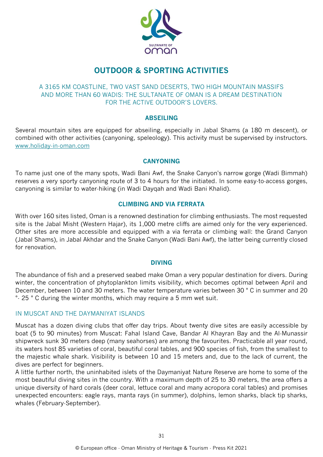

### **OUTDOOR & SPORTING ACTIVITIES**

#### A 3165 KM COASTLINE, TWO VAST SAND DESERTS, TWO HIGH MOUNTAIN MASSIFS AND MORE THAN 60 WADIS: THE SULTANATE OF OMAN IS A DREAM DESTINATION FOR THE ACTIVE OUTDOOR'S LOVERS.

#### **ABSEILING**

Several mountain sites are equipped for abseiling, especially in Jabal Shams (a 180 m descent), or combined with other activities (canyoning, speleology). This activity must be supervised by instructors. www.holiday-in-oman.com

#### **CANYONING**

To name just one of the many spots, Wadi Bani Awf, the Snake Canyon's narrow gorge (Wadi Bimmah) reserves a very sporty canyoning route of 3 to 4 hours for the initiated. In some easy-to-access gorges, canyoning is similar to water-hiking (in Wadi Dayqah and Wadi Bani Khalid).

#### **CLIMBING AND VIA FERRATA**

With over 160 sites listed, Oman is a renowned destination for climbing enthusiasts. The most requested site is the Jabal Misht (Western Hajar), its 1,000 metre cliffs are aimed only for the very experienced. Other sites are more accessible and equipped with a via ferrata or climbing wall: the Grand Canyon (Jabal Shams), in Jabal Akhdar and the Snake Canyon (Wadi Bani Awf), the latter being currently closed for renovation.

#### **DIVING**

The abundance of fish and a preserved seabed make Oman a very popular destination for divers. During winter, the concentration of phytoplankton limits visibility, which becomes optimal between April and December, between 10 and 30 meters. The water temperature varies between 30 ° C in summer and 20 °- 25 ° C during the winter months, which may require a 5 mm wet suit.

#### IN MUSCAT AND THE DAYMANIYAT ISLANDS

Muscat has a dozen diving clubs that offer day trips. About twenty dive sites are easily accessible by boat (5 to 90 minutes) from Muscat: Fahal Island Cave, Bandar Al Khayran Bay and the Al-Munassir shipwreck sunk 30 meters deep (many seahorses) are among the favourites. Practicable all year round, its waters host 85 varieties of coral, beautiful coral tables, and 900 species of fish, from the smallest to the majestic whale shark. Visibility is between 10 and 15 meters and, due to the lack of current, the dives are perfect for beginners.

A little further north, the uninhabited islets of the Daymaniyat Nature Reserve are home to some of the most beautiful diving sites in the country. With a maximum depth of 25 to 30 meters, the area offers a unique diversity of hard corals (deer coral, lettuce coral and many acropora coral tables) and promises unexpected encounters: eagle rays, manta rays (in summer), dolphins, lemon sharks, black tip sharks, whales (February-September).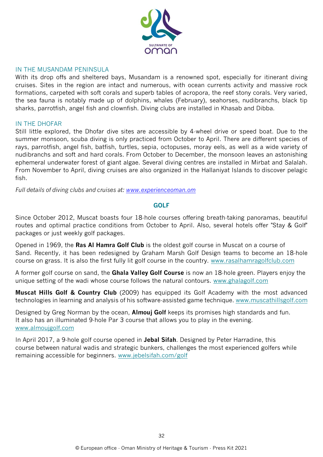

#### IN THE MUSANDAM PENINSULA

With its drop offs and sheltered bays, Musandam is a renowned spot, especially for itinerant diving cruises. Sites in the region are intact and numerous, with ocean currents activity and massive rock formations, carpeted with soft corals and superb tables of acropora, the reef stony corals. Very varied, the sea fauna is notably made up of dolphins, whales (February), seahorses, nudibranchs, black tip sharks, parrotfish, angel fish and clownfish. Diving clubs are installed in Khasab and Dibba.

#### IN THE DHOFAR

Still little explored, the Dhofar dive sites are accessible by 4-wheel drive or speed boat. Due to the summer monsoon, scuba diving is only practiced from October to April. There are different species of rays, parrotfish, angel fish, batfish, turtles, sepia, octopuses, moray eels, as well as a wide variety of nudibranchs and soft and hard corals. From October to December, the monsoon leaves an astonishing ephemeral underwater forest of giant algae. Several diving centres are installed in Mirbat and Salalah. From November to April, diving cruises are also organized in the Hallaniyat Islands to discover pelagic fish.

*Full details of diving clubs and cruises at: [www.experienceoman.om](http://www.experienceoman.om/)*

#### **GOLF**

Since October 2012, Muscat boasts four 18-hole courses offering breath-taking panoramas, beautiful routes and optimal practice conditions from October to April. Also, several hotels offer "Stay & Golf" packages or just weekly golf packages.

Opened in 1969, the **Ras Al Hamra Golf Club** is the oldest golf course in Muscat on a course of Sand. Recently, it has been redesigned by Graham Marsh Golf Design teams to become an 18-hole course on grass. It is also the first fully lit golf course in the country. [www.rasalhamragolfclub.com](http://www.rasalhamragolfclub.com/)

A former golf course on sand, the **Ghala Valley Golf Course** is now an 18-hole green. Players enjoy the unique setting of the wadi whose course follows the natural contours. [www.ghalagolf.com](http://www.ghalagolf.com/)

**Muscat Hills Golf & Country Club** (2009) has equipped its Golf Academy with the most advanced technologies in learning and analysis of his software-assisted game technique. [www.muscathillsgolf.com](http://www.muscathillsgolf.com/)

Designed by Greg Norman by the ocean, **Almouj Golf** keeps its promises high standards and fun. It also has an illuminated 9-hole Par 3 course that allows you to play in the evening. [www.almoujgolf.com](http://www.almoujgolf.com/)

In April 2017, a 9-hole golf course opened in **Jebal Sifah**. Designed by Peter Harradine, this course between natural wadis and strategic bunkers, challenges the most experienced golfers while remaining accessible for beginners. [www.jebelsifah.com/golf](http://www.jebelsifah.com/golf)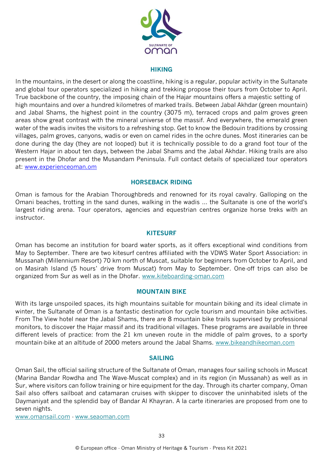

#### **HIKING**

In the mountains, in the desert or along the coastline, hiking is a regular, popular activity in the Sultanate and global tour operators specialized in hiking and trekking propose their tours from October to April. True backbone of the country, the imposing chain of the Hajar mountains offers a majestic setting of high mountains and over a hundred kilometres of marked trails. Between Jabal Akhdar (green mountain) and Jabal Shams, the highest point in the country (3075 m), terraced crops and palm groves green areas show great contrast with the mineral universe of the massif. And everywhere, the emerald green water of the wadis invites the visitors to a refreshing stop. Get to know the Bedouin traditions by crossing villages, palm groves, canyons, wadis or even on camel rides in the ochre dunes. Most itineraries can be done during the day (they are not looped) but it is technically possible to do a grand foot tour of the Western Hajar in about ten days, between the Jabal Shams and the Jabal Akhdar. Hiking trails are also present in the Dhofar and the Musandam Peninsula. Full contact details of specialized tour operators at: www.experienceoman.om

#### **HORSEBACK RIDING**

Oman is famous for the Arabian Thoroughbreds and renowned for its royal cavalry. Galloping on the Omani beaches, trotting in the sand dunes, walking in the wadis ... the Sultanate is one of the world's largest riding arena. Tour operators, agencies and equestrian centres organize horse treks with an instructor.

#### **KITESURF**

Oman has become an institution for board water sports, as it offers exceptional wind conditions from May to September. There are two kitesurf centres affiliated with the VDWS Water Sport Association: in Mussanah (Millennium Resort) 70 km north of Muscat, suitable for beginners from October to April, and on Masirah Island (5 hours' drive from Muscat) from May to September. One-off trips can also be organized from Sur as well as in the Dhofar. [www.kiteboarding-oman.com](http://www.kiteboarding-oman.com/)

#### **MOUNTAIN BIKE**

With its large unspoiled spaces, its high mountains suitable for mountain biking and its ideal climate in winter, the Sultanate of Oman is a fantastic destination for cycle tourism and mountain bike activities. From The View hotel near the Jabal Shams, there are 8 mountain bike trails supervised by professional monitors, to discover the Hajar massif and its traditional villages. These programs are available in three different levels of practice: from the 21 km uneven route in the middle of palm groves, to a sporty mountain-bike at an altitude of 2000 meters around the Jabal Shams. www.bikeandhikeoman.com

#### **SAILING**

Oman Sail, the official sailing structure of the Sultanate of Oman, manages four sailing schools in Muscat (Marina Bandar Rowdha and The Wave-Muscat complex) and in its region (in Mussanah) as well as in Sur, where visitors can follow training or hire equipment for the day. Through its charter company, Oman Sail also offers sailboat and catamaran cruises with skipper to discover the uninhabited islets of the Daymaniyat and the splendid bay of Bandar Al Khayran. A la carte itineraries are proposed from one to seven nights.

[www.omansail.com](http://www.omansail.com/) - [www.seaoman.com](http://www.seaoman.com/)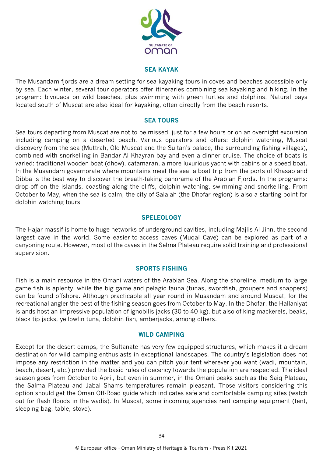

#### **SEA KAYAK**

The Musandam fjords are a dream setting for sea kayaking tours in coves and beaches accessible only by sea. Each winter, several tour operators offer itineraries combining sea kayaking and hiking. In the program: bivouacs on wild beaches, plus swimming with green turtles and dolphins. Natural bays located south of Muscat are also ideal for kayaking, often directly from the beach resorts.

#### **SEA TOURS**

Sea tours departing from Muscat are not to be missed, just for a few hours or on an overnight excursion including camping on a deserted beach. Various operators and offers: dolphin watching, Muscat discovery from the sea (Muttrah, Old Muscat and the Sultan's palace, the surrounding fishing villages), combined with snorkelling in Bandar Al Khayran bay and even a dinner cruise. The choice of boats is varied: traditional wooden boat (dhow), catamaran, a more luxurious yacht with cabins or a speed boat. In the Musandam governorate where mountains meet the sea, a boat trip from the ports of Khasab and Dibba is the best way to discover the breath-taking panorama of the Arabian Fjords. In the programs: drop-off on the islands, coasting along the cliffs, dolphin watching, swimming and snorkelling. From October to May, when the sea is calm, the city of Salalah (the Dhofar region) is also a starting point for dolphin watching tours.

#### **SPELEOLOGY**

The Hajar massif is home to huge networks of underground cavities, including Majlis Al Jinn, the second largest cave in the world. Some easier-to-access caves (Muqal Cave) can be explored as part of a canyoning route. However, most of the caves in the Selma Plateau require solid training and professional supervision.

#### **SPORTS FISHING**

Fish is a main resource in the Omani waters of the Arabian Sea. Along the shoreline, medium to large game fish is aplenty, while the big game and pelagic fauna (tunas, swordfish, groupers and snappers) can be found offshore. Although practicable all year round in Musandam and around Muscat, for the recreational angler the best of the fishing season goes from October to May. In the Dhofar, the Hallaniyat islands host an impressive population of ignobilis jacks (30 to 40 kg), but also of king mackerels, beaks, black tip jacks, yellowfin tuna, dolphin fish, amberjacks, among others.

#### **WILD CAMPING**

Except for the desert camps, the Sultanate has very few equipped structures, which makes it a dream destination for wild camping enthusiasts in exceptional landscapes. The country's legislation does not impose any restriction in the matter and you can pitch your tent wherever you want (wadi, mountain, beach, desert, etc.) provided the basic rules of decency towards the population are respected. The ideal season goes from October to April, but even in summer, in the Omani peaks such as the Saiq Plateau, the Salma Plateau and Jabal Shams temperatures remain pleasant. Those visitors considering this option should get the Oman Off-Road guide which indicates safe and comfortable camping sites (watch out for flash floods in the wadis). In Muscat, some incoming agencies rent camping equipment (tent, sleeping bag, table, stove).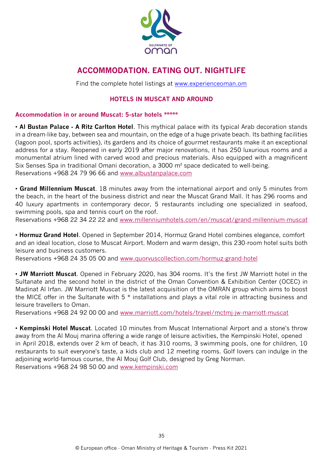

### **ACCOMMODATION. EATING OUT. NIGHTLIFE**

Find the complete hotel listings at [www.experienceoman.om](http://www.experienceoman.om/)

#### **HOTELS IN MUSCAT AND AROUND**

#### **Accommodation in or around Muscat: 5-star hotels \*\*\*\*\***

• **Al Bustan Palace - A Ritz Carlton Hotel**. This mythical palace with its typical Arab decoration stands in a dream-like bay, between sea and mountain, on the edge of a huge private beach. Its bathing facilities (lagoon pool, sports activities), its gardens and its choice of gourmet restaurants make it an exceptional address for a stay. Reopened in early 2019 after major renovations, it has 250 luxurious rooms and a monumental atrium lined with carved wood and precious materials. Also equipped with a magnificent Six Senses Spa in traditional Omani decoration, a 3000 m² space dedicated to well-being. Reservations +968 24 79 96 66 and [www.albustanpalace.com](http://www.albustanpalace.com/)

• **Grand Millennium Muscat**. 18 minutes away from the international airport and only 5 minutes from the beach, in the heart of the business district and near the Muscat Grand Mall. It has 296 rooms and 40 luxury apartments in contemporary decor, 5 restaurants including one specialized in seafood, swimming pools, spa and tennis court on the roof.

Reservations +968 22 34 22 22 and [www.millenniumhotels.com/en/muscat/grand-millennium-muscat](http://www.millenniumhotels.com/en/muscat/grand-millennium-muscat)

• **Hormuz Grand Hotel**. Opened in September 2014, Hormuz Grand Hotel combines elegance, comfort and an ideal location, close to Muscat Airport. Modern and warm design, this 230-room hotel suits both leisure and business customers.

Reservations +968 24 35 05 00 and www.quorvuscollection.com/hormuz-grand-hotel

• **JW Marriott Muscat**. Opened in February 2020, has 304 rooms. It's the first JW Marriott hotel in the Sultanate and the second hotel in the district of the Oman Convention & Exhibition Center (OCEC) in Madinat Al Irfan. JW Marriott Muscat is the latest acquisition of the OMRAN group which aims to boost the MICE offer in the Sultanate with 5 \* installations and plays a vital role in attracting business and leisure travellers to Oman.

Reservations +968 24 92 00 00 and [www.marriott.com/hotels/travel/mctmj-jw-marriott-muscat](http://www.marriott.com/hotels/travel/mctmj-jw-marriott-muscat)

• **Kempinski Hotel Muscat**. Located 10 minutes from Muscat International Airport and a stone's throw away from the Al Mouj marina offering a wide range of leisure activities, the Kempinski Hotel, opened in April 2018, extends over 2 km of beach, it has 310 rooms, 3 swimming pools, one for children, 10 restaurants to suit everyone's taste, a kids club and 12 meeting rooms. Golf lovers can indulge in the adjoining world-famous course, the Al Mouj Golf Club, designed by Greg Norman. Reservations +968 24 98 50 00 and [www.kempinski.com](http://www.kempinski.com/)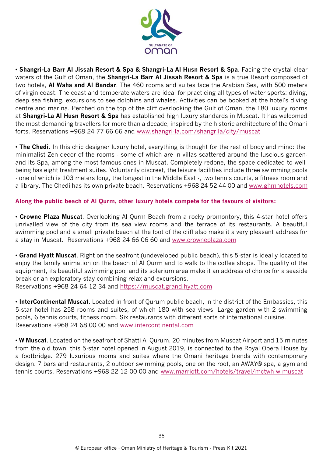

• **Shangri-La Barr Al Jissah Resort & Spa & Shangri-La Al Husn Resort & Spa**. Facing the crystal-clear waters of the Gulf of Oman, the **Shangri-La Barr Al Jissah Resort & Spa** is a true Resort composed of two hotels, **Al Waha and Al Bandar**. The 460 rooms and suites face the Arabian Sea, with 500 meters of virgin coast. The coast and temperate waters are ideal for practicing all types of water sports: diving, deep sea fishing, excursions to see dolphins and whales. Activities can be booked at the hotel's diving centre and marina. Perched on the top of the cliff overlooking the Gulf of Oman, the 180 luxury rooms at **Shangri-La Al Husn Resort & Spa** has established high luxury standards in Muscat. It has welcomed the most demanding travellers for more than a decade, inspired by the historic architecture of the Omani forts. Reservations +968 24 77 66 66 and [www.shangri-la.com/shangrila/city/muscat](http://www.shangri-la.com/shangrila/city/muscat)

• **The Chedi**. In this chic designer luxury hotel, everything is thought for the rest of body and mind: the minimalist Zen decor of the rooms - some of which are in villas scattered around the luscious gardenand its Spa, among the most famous ones in Muscat. Completely redone, the space dedicated to wellbeing has eight treatment suites. Voluntarily discreet, the leisure facilities include three swimming pools - one of which is 103 meters long, the longest in the Middle East -, two tennis courts, a fitness room and a library. The Chedi has its own private beach. Reservations +968 24 52 44 00 and [www.ghmhotels.com](http://www.ghmhotels.com/)

#### **Along the public beach of Al Qurm, other luxury hotels compete for the favours of visitors:**

• **Crowne Plaza Muscat**. Overlooking Al Qurm Beach from a rocky promontory, this 4-star hotel offers unrivalled view of the city from its sea view rooms and the terrace of its restaurants. A beautiful swimming pool and a small private beach at the foot of the cliff also make it a very pleasant address for a stay in Muscat. Reservations +968 24 66 06 60 and [www.crowneplaza.com](http://www.crowneplaza.com/)

• **Grand Hyatt Muscat**. Right on the seafront (undeveloped public beach), this 5-star is ideally located to enjoy the family animation on the beach of Al Qurm and to walk to the coffee shops. The quality of the equipment, its beautiful swimming pool and its solarium area make it an address of choice for a seaside break or an exploratory stay combining relax and excursions. Reservations +968 24 64 12 34 and [https://muscat.grand.hyatt.com](https://muscat.grand.hyatt.com/)

• **InterContinental Muscat**. Located in front of Qurum public beach, in the district of the Embassies, this 5-star hotel has 258 rooms and suites, of which 180 with sea views. Large garden with 2 swimming pools, 6 tennis courts, fitness room. Six restaurants with different sorts of international cuisine. Reservations +968 24 68 00 00 and [www.intercontinental.com](http://www.intercontinental.com/)

• **W Muscat**. Located on the seafront of Shatti Al Qurum, 20 minutes from Muscat Airport and 15 minutes from the old town, this 5-star hotel opened in August 2019, is connected to the Royal Opera House by a footbridge. 279 luxurious rooms and suites where the Omani heritage blends with contemporary design. 7 bars and restaurants, 2 outdoor swimming pools, one on the roof, an AWAY® spa, a gym and tennis courts. Reservations +968 22 12 00 00 and [www.marriott.com/hotels/travel/mctwh-w-muscat](http://www.marriott.com/hotels/travel/mctwh-w-muscat)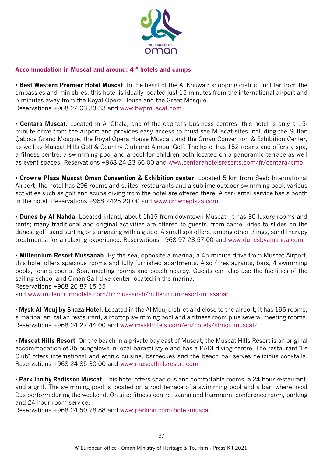

#### **Accommodation in Muscat and around: 4 \* hotels and camps**

• **Best Western Premier Hotel Muscat**. In the heart of the Al Khuwair shopping district, not far from the embassies and ministries, this hotel is ideally located just 15 minutes from the international airport and 5 minutes away from the Royal Opera House and the Great Mosque. Reservations +968 22 03 33 33 and [www.bwpmuscat.com](http://www.bwpmuscat.com/)

• **Centara Muscat**. Located in Al Ghala, one of the capital's business centres, this hotel is only a 15 minute drive from the airport and provides easy access to must-see Muscat sites including the Sultan Qaboos Grand Mosque, the Royal Opera House Muscat, and the Oman Convention & Exhibition Center, as well as Muscat Hills Golf & Country Club and Almouj Golf. The hotel has 152 rooms and offers a spa, a fitness centre, a swimming pool and a pool for children both located on a panoramic terrace as well as event spaces. Reservations +968 24 23 66 00 and [www.centarahotelsresorts.com/fr/centara/cmo](http://www.centarahotelsresorts.com/fr/centara/cmo)

• **Crowne Plaza Muscat Oman Convention & Exhibition center**. Located 5 km from Seeb International Airport, the hotel has 296 rooms and suites, restaurants and a sublime outdoor swimming pool, various activities such as golf and scuba diving from the hotel are offered there. A car-rental service has a booth in the hotel. Reservations +968 2425 20 00 and [www.crowneplaza.com](http://www.crowneplaza.com/)

• **Dunes by Al Nahda**. Located inland, about 1h15 from downtown Muscat. It has 30 luxury rooms and tents; many traditional and original activities are offered to guests, from camel rides to slides on the dunes, golf, sand surfing or stargazing with a guide. A small spa offers, among other things, sand therapy treatments, for a relaxing experience. Reservations +968 97 23 57 00 and [www.dunesbyalnahda.com](http://www.dunesbyalnahda.com/)

• **Millennium Resort Mussanah**. By the sea, opposite a marina, a 45-minute drive from Muscat Airport, this hotel offers spacious rooms and fully furnished apartments. Also 4 restaurants, bars, 4 swimming pools, tennis courts, Spa, meeting rooms and beach nearby. Guests can also use the facilities of the sailing school and Oman Sail dive center located in the marina. Reservations +968 26 87 15 55 and [www.millenniumhotels.com/fr/mussanah/millennium-resort-mussanah](http://www.millenniumhotels.com/fr/mussanah/millennium-resort-mussanah)

• **Mysk Al Mouj by Shaza Hotel**. Located in the Al Mouj district and close to the airport, it has 195 rooms, a marina, an Italian restaurant, a rooftop swimming pool and a fitness room plus several meeting rooms. Reservations +968 24 27 44 00 and [www.myskhotels.com/en/hotels/almoujmuscat/](http://www.myskhotels.com/en/hotels/almoujmuscat/)

• **Muscat Hills Resort**. On the beach in a private bay east of Muscat, the Muscat Hills Resort is an original accommodation of 35 bungalows in local barasti style and has a PADI diving centre. The restaurant "Le Club" offers international and ethnic cuisine, barbecues and the beach bar serves delicious cocktails. Reservations +968 24 85 30 00 and [www.muscathillsresort.com](http://www.muscathillsresort.com/)

• **Park Inn by Radisson Muscat**. This hotel offers spacious and comfortable rooms, a 24-hour restaurant, and a grill. The swimming pool is located on a roof terrace of a swimming pool and a bar, where local DJs perform during the weekend. On site: fitness centre, sauna and hammam, conference room, parking and 24-hour room service.

Reservations +968 24 50 78 88 and [www.parkinn.com/hotel-muscat](http://www.parkinn.com/hotel-muscat)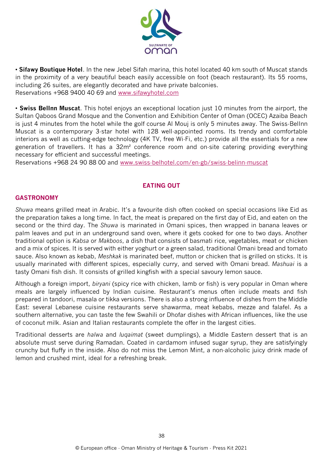

• **Sifawy Boutique Hotel**. In the new Jebel Sifah marina, this hotel located 40 km south of Muscat stands in the proximity of a very beautiful beach easily accessible on foot (beach restaurant). Its 55 rooms, including 26 suites, are elegantly decorated and have private balconies. Reservations +968 9400 40 69 and [www.sifawyhotel.com](http://www.sifawyhotel.com/)

• **Swiss BelInn Muscat**. This hotel enjoys an exceptional location just 10 minutes from the airport, the Sultan Qaboos Grand Mosque and the Convention and Exhibition Center of Oman (OCEC) Azaiba Beach is just 4 minutes from the hotel while the golf course Al Mouj is only 5 minutes away. The Swiss-BelInn Muscat is a contemporary 3-star hotel with 128 well-appointed rooms. Its trendy and comfortable interiors as well as cutting-edge technology (4K TV, free Wi-Fi, etc.) provide all the essentials for a new generation of travellers. It has a 32m² conference room and on-site catering providing everything necessary for efficient and successful meetings.

Reservations +968 24 90 88 00 and [www.swiss-belhotel.com/en-gb/swiss-belinn-muscat](http://www.swiss-belhotel.com/en-gb/swiss-belinn-muscat)

### **EATING OUT**

#### **GASTRONOMY**

*Shuwa* means grilled meat in Arabic. It's a favourite dish often cooked on special occasions like Eid as the preparation takes a long time. In fact, the meat is prepared on the first day of Eid, and eaten on the second or the third day. The *Shuwa* is marinated in Omani spices, then wrapped in banana leaves or palm leaves and put in an underground sand oven, where it gets cooked for one to two days. Another traditional option is *Kabsa* or *Makboos*, a dish that consists of basmati rice, vegetables, meat or chicken and a mix of spices. It is served with either yoghurt or a green salad, traditional Omani bread and tomato sauce. Also known as kebab, *Meshkak* is marinated beef, mutton or chicken that is grilled on sticks. It is usually marinated with different spices, especially curry, and served with Omani bread. *Mashuai* is a tasty Omani fish dish. It consists of grilled kingfish with a special savoury lemon sauce.

Although a foreign import, *biryani* (spicy rice with chicken, lamb or fish) is very popular in Oman where meals are largely influenced by Indian cuisine. Restaurant's menus often include meats and fish prepared in tandoori, masala or tikka versions. There is also a strong influence of dishes from the Middle East: several Lebanese cuisine restaurants serve shawarma, meat kebabs, mezze and falafel. As a southern alternative, you can taste the few Swahili or Dhofar dishes with African influences, like the use of coconut milk. Asian and Italian restaurants complete the offer in the largest cities.

Traditional desserts are *halwa* and *luqaimat* (sweet dumplings), a Middle Eastern dessert that is an absolute must serve during Ramadan. Coated in cardamom infused sugar syrup, they are satisfyingly crunchy but fluffy in the inside. Also do not miss the Lemon Mint, a non-alcoholic juicy drink made of lemon and crushed mint, ideal for a refreshing break.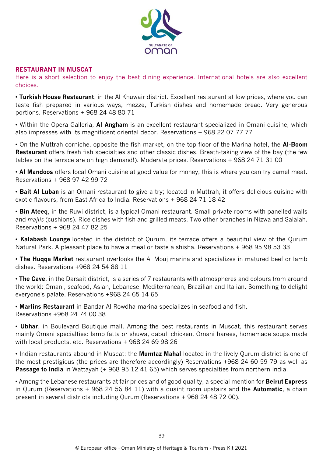

#### **RESTAURANT IN MUSCAT**

Here is a short selection to enjoy the best dining experience. International hotels are also excellent choices.

• **Turkish House Restaurant**, in the Al Khuwair district. Excellent restaurant at low prices, where you can taste fish prepared in various ways, mezze, Turkish dishes and homemade bread. Very generous portions. Reservations + 968 24 48 80 71

• Within the Opera Galleria, **Al Angham** is an excellent restaurant specialized in Omani cuisine, which also impresses with its magnificent oriental decor. Reservations + 968 22 07 77 77

• On the Muttrah corniche, opposite the fish market, on the top floor of the Marina hotel, the **Al-Boom Restaurant** offers fresh fish specialties and other classic dishes. Breath-taking view of the bay (the few tables on the terrace are on high demand!). Moderate prices. Reservations + 968 24 71 31 00

• **Al Mandoos** offers local Omani cuisine at good value for money, this is where you can try camel meat. Reservations + 968 97 42 99 72

• **Bait Al Luban** is an Omani restaurant to give a try; located in Muttrah, it offers delicious cuisine with exotic flavours, from East Africa to India. Reservations + 968 24 71 18 42

• **Bin Ateeq**, in the Ruwi district, is a typical Omani restaurant. Small private rooms with panelled walls and *majlis* (cushions). Rice dishes with fish and grilled meats. Two other branches in Nizwa and Salalah. Reservations + 968 24 47 82 25

• **Kalabash Lounge** located in the district of Qurum, its terrace offers a beautiful view of the Qurum Natural Park. A pleasant place to have a meal or taste a shisha. Reservations + 968 95 98 53 33

• **The Huqqa Market** restaurant overlooks the Al Mouj marina and specializes in matured beef or lamb dishes. Reservations +968 24 54 88 11

• **The Cave**, in the Darsait district, is a series of 7 restaurants with atmospheres and colours from around the world: Omani, seafood, Asian, Lebanese, Mediterranean, Brazilian and Italian. Something to delight everyone's palate. Reservations +968 24 65 14 65

• **Marlins Restaurant** in Bandar Al Rowdha marina specializes in seafood and fish. Reservations +968 24 74 00 38

• **Ubhar**, in Boulevard Boutique mall. Among the best restaurants in Muscat, this restaurant serves mainly Omani specialties: lamb fatta or shuwa, qabuli chicken, Omani harees, homemade soups made with local products, etc. Reservations + 968 24 69 98 26

• Indian restaurants abound in Muscat: the **Mumtaz Mahal** located in the lively Qurum district is one of the most prestigious (the prices are therefore accordingly) Reservations +968 24 60 59 79 as well as **Passage to India** in Wattayah (+ 968 95 12 41 65) which serves specialties from northern India.

• Among the Lebanese restaurants at fair prices and of good quality, a special mention for **Beirut Express** in Qurum (Reservations + 968 24 56 84 11) with a quaint room upstairs and the **Automatic**, a chain present in several districts including Qurum (Reservations + 968 24 48 72 00).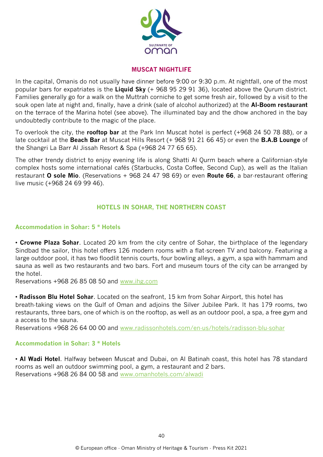

#### **MUSCAT NIGHTLIFE**

In the capital, Omanis do not usually have dinner before 9:00 or 9:30 p.m. At nightfall, one of the most popular bars for expatriates is the **Liquid Sky** (+ 968 95 29 91 36), located above the Qurum district. Families generally go for a walk on the Muttrah corniche to get some fresh air, followed by a visit to the souk open late at night and, finally, have a drink (sale of alcohol authorized) at the **Al-Boom restaurant** on the terrace of the Marina hotel (see above). The illuminated bay and the dhow anchored in the bay undoubtedly contribute to the magic of the place.

To overlook the city, the **rooftop bar** at the Park Inn Muscat hotel is perfect (+968 24 50 78 88), or a late cocktail at the **Beach Bar** at Muscat Hills Resort (+ 968 91 21 66 45) or even the **B.A.B Lounge** of the Shangri La Barr Al Jissah Resort & Spa (+968 24 77 65 65).

The other trendy district to enjoy evening life is along Shatti Al Qurm beach where a Californian-style complex hosts some international cafés (Starbucks, Costa Coffee, Second Cup), as well as the Italian restaurant **O sole Mio**. (Reservations + 968 24 47 98 69) or even **Route 66**, a bar-restaurant offering live music (+968 24 69 99 46).

#### **HOTELS IN SOHAR, THE NORTHERN COAST**

#### **Accommodation in Sohar: 5 \* Hotels**

• **Crowne Plaza Sohar**. Located 20 km from the city centre of Sohar, the birthplace of the legendary Sindbad the sailor, this hotel offers 126 modern rooms with a flat-screen TV and balcony. Featuring a large outdoor pool, it has two floodlit tennis courts, four bowling alleys, a gym, a spa with hammam and sauna as well as two restaurants and two bars. Fort and museum tours of the city can be arranged by the hotel.

Reservations +968 26 85 08 50 and [www.ihg.com](http://www.ihg.com/)

• **Radisson Blu Hotel Sohar**. Located on the seafront, 15 km from Sohar Airport, this hotel has breath-taking views on the Gulf of Oman and adjoins the Silver Jubilee Park. It has 179 rooms, two restaurants, three bars, one of which is on the rooftop, as well as an outdoor pool, a spa, a free gym and a access to the sauna.

Reservations +968 26 64 00 00 and [www.radissonhotels.com/en-us/hotels/radisson-blu-sohar](http://www.radissonhotels.com/en-us/hotels/radisson-blu-sohar)

#### **Accommodation in Sohar: 3 \* Hotels**

• **Al Wadi Hotel**. Halfway between Muscat and Dubai, on Al Batinah coast, this hotel has 78 standard rooms as well an outdoor swimming pool, a gym, a restaurant and 2 bars. Reservations +968 26 84 00 58 and [www.omanhotels.com/alwadi](http://www.omanhotels.com/alwadi)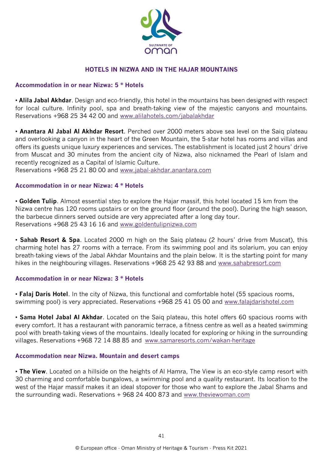

#### **HOTELS IN NIZWA AND IN THE HAJAR MOUNTAINS**

#### **Accommodation in or near Nizwa: 5 \* Hotels**

• **Alila Jabal Akhdar**. Design and eco-friendly, this hotel in the mountains has been designed with respect for local culture. Infinity pool, spa and breath-taking view of the majestic canyons and mountains. Reservations +968 25 34 42 00 and [www.alilahotels.com/jabalakhdar](http://www.alilahotels.com/jabalakhdar)

• **Anantara Al Jabal Al Akhdar Resort**. Perched over 2000 meters above sea level on the Saiq plateau and overlooking a canyon in the heart of the Green Mountain, the 5-star hotel has rooms and villas and offers its guests unique luxury experiences and services. The establishment is located just 2 hours' drive from Muscat and 30 minutes from the ancient city of Nizwa, also nicknamed the Pearl of Islam and recently recognized as a Capital of Islamic Culture.

Reservations +968 25 21 80 00 and [www.jabal-akhdar.anantara.com](http://www.jabal-akhdar.anantara.com/)

#### **Accommodation in or near Nizwa: 4 \* Hotels**

• **Golden Tulip**. Almost essential step to explore the Hajar massif, this hotel located 15 km from the Nizwa centre has 120 rooms upstairs or on the ground floor (around the pool). During the high season, the barbecue dinners served outside are very appreciated after a long day tour. Reservations +968 25 43 16 16 and [www.goldentulipnizwa.com](http://www.goldentulipnizwa.com/)

• **Sahab Resort & Spa**. Located 2000 m high on the Saiq plateau (2 hours' drive from Muscat), this charming hotel has 27 rooms with a terrace. From its swimming pool and its solarium, you can enjoy breath-taking views of the Jabal Akhdar Mountains and the plain below. It is the starting point for many hikes in the neighbouring villages. Reservations +968 25 42 93 88 and [www.sahabresort.com](http://www.sahabresort.com/)

#### **Accommodation in or near Nizwa: 3 \* Hotels**

• **Falaj Daris Hotel**. In the city of Nizwa, this functional and comfortable hotel (55 spacious rooms, swimming pool) is very appreciated. Reservations +968 25 41 05 00 and [www.falajdarishotel.com](http://www.falajdarishotel.com/)

• **Sama Hotel Jabal Al Akhdar**. Located on the Saiq plateau, this hotel offers 60 spacious rooms with every comfort. It has a restaurant with panoramic terrace, a fitness centre as well as a heated swimming pool with breath-taking views of the mountains. Ideally located for exploring or hiking in the surrounding villages. Reservations +968 72 14 88 85 and [www.samaresorts.com/wakan-heritage](http://www.samaresorts.com/wakan-heritage)

#### **Accommodation near Nizwa. Mountain and desert camps**

• **The View**. Located on a hillside on the heights of Al Hamra, The View is an eco-style camp resort with 30 charming and comfortable bungalows, a swimming pool and a quality restaurant. Its location to the west of the Hajar massif makes it an ideal stopover for those who want to explore the Jabal Shams and the surrounding wadi. Reservations + 968 24 400 873 and [www.theviewoman.com](http://www.theviewoman.com/)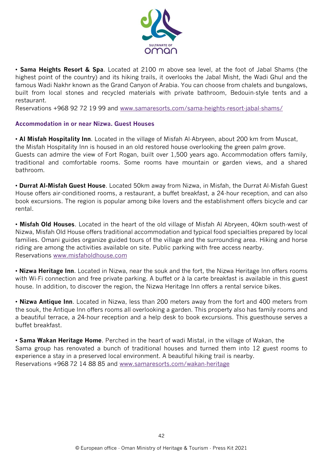

• **Sama Heights Resort & Spa**. Located at 2100 m above sea level, at the foot of Jabal Shams (the highest point of the country) and its hiking trails, it overlooks the Jabal Misht, the Wadi Ghul and the famous Wadi Nakhr known as the Grand Canyon of Arabia. You can choose from chalets and bungalows, built from local stones and recycled materials with private bathroom, Bedouin-style tents and a restaurant.

Reservations +968 92 72 19 99 and [www.samaresorts.com/sama-heights-resort-jabal-shams/](http://www.samaresorts.com/sama-heights-resort-jabal-shams/)

#### **Accommodation in or near Nizwa. Guest Houses**

• **Al Misfah Hospitality Inn**. Located in the village of Misfah Al-Abryeen, about 200 km from Muscat, the Misfah Hospitality Inn is housed in an old restored house overlooking the green palm grove. Guests can admire the view of Fort Rogan, built over 1,500 years ago. Accommodation offers family, traditional and comfortable rooms. Some rooms have mountain or garden views, and a shared bathroom.

• **Durrat Al-Misfah Guest House**. Located 50km away from Nizwa, in Misfah, the Durrat Al-Misfah Guest House offers air-conditioned rooms, a restaurant, a buffet breakfast, a 24-hour reception, and can also book excursions. The region is popular among bike lovers and the establishment offers bicycle and car rental.

• **Misfah Old Houses**. Located in the heart of the old village of Misfah Al Abryeen, 40km south-west of Nizwa, Misfah Old House offers traditional accommodation and typical food specialties prepared by local families. Omani guides organize guided tours of the village and the surrounding area. Hiking and horse riding are among the activities available on site. Public parking with free access nearby. Reservations [www.misfaholdhouse.com](http://www.misfaholdhouse.com/)

• **Nizwa Heritage Inn**. Located in Nizwa, near the souk and the fort, the Nizwa Heritage Inn offers rooms with Wi-Fi connection and free private parking. A buffet or à la carte breakfast is available in this guest house. In addition, to discover the region, the Nizwa Heritage Inn offers a rental service bikes.

• **Nizwa Antique Inn**. Located in Nizwa, less than 200 meters away from the fort and 400 meters from the souk, the Antique Inn offers rooms all overlooking a garden. This property also has family rooms and a beautiful terrace, a 24-hour reception and a help desk to book excursions. This guesthouse serves a buffet breakfast.

• **Sama Wakan Heritage Home**. Perched in the heart of wadi Mistal, in the village of Wakan, the Sama group has renovated a bunch of traditional houses and turned them into 12 guest rooms to experience a stay in a preserved local environment. A beautiful hiking trail is nearby. Reservations +968 72 14 88 85 and [www.samaresorts.com/wakan-heritage](http://www.samaresorts.com/wakan-heritage)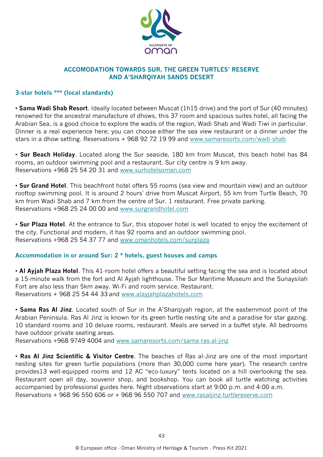

#### **ACCOMODATION TOWARDS SUR, THE GREEN TURTLES' RESERVE AND A'SHARQIYAH SANDS DESERT**

#### **3-star hotels \*\*\* (local standards)**

• **Sama Wadi Shab Resort**. Ideally located between Muscat (1h15 drive) and the port of Sur (40 minutes) renowned for the ancestral manufacture of dhows, this 37 room and spacious suites hotel, all facing the Arabian Sea, is a good choice to explore the wadis of the region, Wadi Shab and Wadi Tiwi in particular. Dinner is a real experience here; you can choose either the sea view restaurant or a dinner under the stars in a dhow setting. Reservations + 968 92 72 19 99 and [www.samaresorts.com/wadi-shab](http://www.samaresorts.com/wadi-shab)

• **Sur Beach Holiday**. Located along the Sur seaside, 180 km from Muscat, this beach hotel has 84 rooms, an outdoor swimming pool and a restaurant. Sur city centre is 9 km away. Reservations +968 25 54 20 31 and [www.surhotelsoman.com](http://www.surhotelsoman.com/)

• **Sur Grand Hotel**. This beachfront hotel offers 55 rooms (sea view and mountain view) and an outdoor rooftop swimming pool. It is around 2 hours' drive from Muscat Airport, 55 km from Turtle Beach, 70 km from Wadi Shab and 7 km from the centre of Sur. 1 restaurant. Free private parking. Reservations +968 25 24 00 00 and [www.surgrandhotel.com](http://www.surgrandhotel.com/)

• **Sur Plaza Hotel**. At the entrance to Sur, this stopover hotel is well located to enjoy the excitement of the city. Functional and modern, it has 92 rooms and an outdoor swimming pool. Reservations +968 25 54 37 77 and [www.omanhotels.com/surplaza](http://www.omanhotels.com/surplaza/)

#### **Accommodation in or around Sur: 2 \* hotels, guest houses and camps**

• **Al Ayjah Plaza Hotel**. This 41-room hotel offers a beautiful setting facing the sea and is located about a 15-minute walk from the fort and Al Ayjah lighthouse. The Sur Maritime Museum and the Sunaysilah Fort are also less than 5km away. Wi-Fi and room service. Restaurant. Reservations + 968 25 54 44 33 and [www.alayjahplazahotels.com](http://www.alayjahplazahotels.com/)

• **Sama Ras Al Jinz**. Located south of Sur in the A'Sharqiyah region, at the easternmost point of the Arabian Peninsula. Ras Al Jinz is known for its green turtle nesting site and a paradise for star gazing. 10 standard rooms and 10 deluxe rooms, restaurant. Meals are served in a buffet style. All bedrooms have outdoor private seating areas.

Reservations +968 9749 4004 and [www.samaresorts.com/sama-ras-al-jinz](http://www.samaresorts.com/sama-ras-al-jinz)

• **Ras Al Jinz Scientific & Visitor Centre**. The beaches of Ras al-Jinz are one of the most important nesting sites for green turtle populations (more than 30,000 come here year). The research centre provides13 well-equipped rooms and 12 AC "eco-luxury" tents located on a hill overlooking the sea. Restaurant open all day, souvenir shop, and bookshop. You can book all turtle watching activities accompanied by professional guides here. Night observations start at 9:00 p.m. and 4:00 a.m. Reservations + 968 96 550 606 or + 968 96 550 707 and [www.rasaljinz-turtlereserve.com](http://www.rasaljinz-turtlereserve.com/)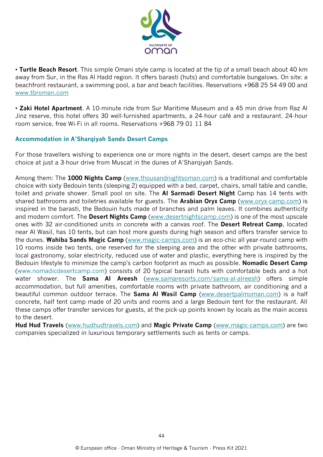

• **Turtle Beach Resort**. This simple Omani style camp is located at the tip of a small beach about 40 km away from Sur, in the Ras Al Hadd region. It offers barasti (huts) and comfortable bungalows. On site: a beachfront restaurant, a swimming pool, a bar and beach facilities. Reservations +968 25 54 49 00 and [www.tbroman.com](http://www.tbroman.com/)

• **Zaki Hotel Apartment**. A 10-minute ride from Sur Maritime Museum and a 45 min drive from Raz Al Jinz reserve, this hotel offers 30 well-furnished apartments, a 24-hour café and a restaurant. 24-hour room service, free Wi-Fi in all rooms. Reservations +968 79 01 11 84

#### **Accommodation in A'Sharqiyah Sands Desert Camps**

For those travellers wishing to experience one or more nights in the desert, desert camps are the best choice at just a 3-hour drive from Muscat in the dunes of A'Sharqiyah Sands.

Among them: The **1000 Nights Camp** [\(www.thousandnightsoman.com\)](http://www.thousandnightsoman.com/) is a traditional and comfortable choice with sixty Bedouin tents (sleeping 2) equipped with a bed, carpet, chairs, small table and candle, toilet and private shower. Small pool on site. The **Al Sarmadi Desert Night** Camp has 14 tents with shared bathrooms and toiletries available for guests. The **Arabian Oryx Camp** [\(www.oryx-camp.com\)](http://www.oryx-camp.com/) is inspired in the barasti, the Bedouin huts made of branches and palm leaves. It combines authenticity and modern comfort. The **Desert Nights Camp** [\(www.desertnightscamp.com\)](http://www.desertnightscamp.com/) is one of the most upscale ones with 32 air-conditioned units in concrete with a canvas roof. The **Desert Retreat Camp**, located near Al Wasil, has 10 tents, but can host more guests during high season and offers transfer service to the dunes. **Wahiba Sands Magic Camp** [\(www.magic-camps.com\)](http://www.magic-camps.com/) is an eco-chic all year-round camp with 10 rooms inside two tents, one reserved for the sleeping area and the other with private bathrooms, local gastronomy, solar electricity, reduced use of water and plastic, everything here is inspired by the Bedouin lifestyle to minimize the camp's carbon footprint as much as possible. **Nomadic Desert Camp** (www.nomadicdesertcamp.com) consists of 20 typical barasti huts with comfortable beds and a hot water shower. The **Sama Al Areesh** [\(www.samaresorts.com/sama-al-alreesh\)](http://www.samaresorts.com/sama-al-alreesh) offers simple accommodation, but full amenities, comfortable rooms with private bathroom, air conditioning and a beautiful common outdoor terrace. The **Sama Al Wasil Camp** [\(www.desertpalmoman.com\)](http://www.desertpalmoman.com/) is a half concrete, half tent camp made of 20 units and rooms and a large Bedouin tent for the restaurant. All these camps offer transfer services for guests, at the pick-up points known by locals as the main access to the desert.

**Hud Hud Travels** [\(www.hudhudtravels.com\)](http://www.hudhudtravels.com/) and **Magic Private Camp** [\(www.magic-camps.com\)](http://www.magic-camps.com/) are two companies specialized in luxurious temporary settlements such as tents or camps.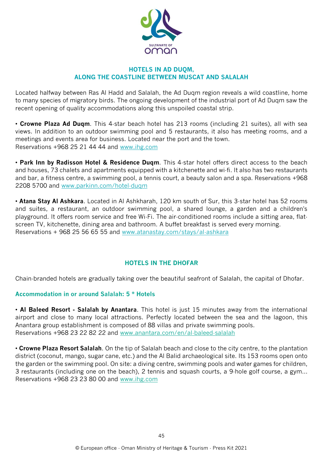

#### **HOTELS IN AD DUQM, ALONG THE COASTLINE BETWEEN MUSCAT AND SALALAH**

Located halfway between Ras Al Hadd and Salalah, the Ad Duqm region reveals a wild coastline, home to many species of migratory birds. The ongoing development of the industrial port of Ad Duqm saw the recent opening of quality accommodations along this unspoiled coastal strip.

• **Crowne Plaza Ad Duqm**. This 4-star beach hotel has 213 rooms (including 21 suites), all with sea views. In addition to an outdoor swimming pool and 5 restaurants, it also has meeting rooms, and a meetings and events area for business. Located near the port and the town. Reservations +968 25 21 44 44 and [www.ihg.com](http://www.ihg.com/)

• **Park Inn by Radisson Hotel & Residence Duqm**. This 4-star hotel offers direct access to the beach and houses, 73 chalets and apartments equipped with a kitchenette and wi-fi. It also has two restaurants and bar, a fitness centre, a swimming pool, a tennis court, a beauty salon and a spa. Reservations +968 2208 5700 and [www.parkinn.com/hotel-duqm](http://www.parkinn.com/hotel-duqm)

• **Atana Stay Al Ashkara**. Located in Al Ashkharah, 120 km south of Sur, this 3-star hotel has 52 rooms and suites, a restaurant, an outdoor swimming pool, a shared lounge, a garden and a children's playground. It offers room service and free Wi-Fi. The air-conditioned rooms include a sitting area, flatscreen TV, kitchenette, dining area and bathroom. A buffet breakfast is served every morning. Reservations + 968 25 56 65 55 and [www.atanastay.com/stays/al-ashkara](http://www.atanastay.com/stays/al-ashkara)

#### **HOTELS IN THE DHOFAR**

Chain-branded hotels are gradually taking over the beautiful seafront of Salalah, the capital of Dhofar.

#### **Accommodation in or around Salalah: 5 \* Hotels**

• **Al Baleed Resort - Salalah by Anantara**. This hotel is just 15 minutes away from the international airport and close to many local attractions. Perfectly located between the sea and the lagoon, this Anantara group establishment is composed of 88 villas and private swimming pools. Reservations +968 23 22 82 22 and [www.anantara.com/en/al-baleed-salalah](http://www.anantara.com/en/al-baleed-salalah)

• **Crowne Plaza Resort Salalah**. On the tip of Salalah beach and close to the city centre, to the plantation district (coconut, mango, sugar cane, etc.) and the Al Balid archaeological site. Its 153 rooms open onto the garden or the swimming pool. On site: a diving centre, swimming pools and water games for children, 3 restaurants (including one on the beach), 2 tennis and squash courts, a 9-hole golf course, a gym... Reservations +968 23 23 80 00 and [www.ihg.com](http://www.ihg.com/)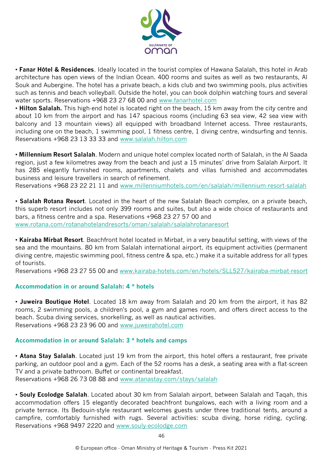

• **Fanar Hôtel & Residences**. Ideally located in the tourist complex of Hawana Salalah, this hotel in Arab architecture has open views of the Indian Ocean. 400 rooms and suites as well as two restaurants, Al Souk and Aubergine. The hotel has a private beach, a kids club and two swimming pools, plus activities such as tennis and beach volleyball. Outside the hotel, you can book dolphin watching tours and several water sports. Reservations +968 23 27 68 00 and [www.fanarhotel.c](http://www.fanarhotel.co/##############################################################)om

• **Hilton Salalah.** This high-end hotel is located right on the beach, 15 km away from the city centre and about 10 km from the airport and has 147 spacious rooms (including 63 sea view, 42 sea view with balcony and 13 mountain views) all equipped with broadband Internet access. Three restaurants, including one on the beach, 1 swimming pool, 1 fitness centre, 1 diving centre, windsurfing and tennis. Reservations +968 23 13 33 33 and [www.salalah.hilton.com](http://www.salalah.hilton.com/)

• **Millennium Resort Salalah**. Modern and unique hotel complex located north of Salalah, in the Al Saada region, just a few kilometres away from the beach and just a 15 minutes' drive from Salalah Airport. It has 285 elegantly furnished rooms, apartments, chalets and villas furnished and accommodates business and leisure travellers in search of refinement.

Reservations +968 23 22 21 11 and [www.millenniumhotels.com/en/salalah/millennium-resort-salalah](http://www.millenniumhotels.com/en/salalah/millennium-resort-salalah)

• **Salalah Rotana Resort**. Located in the heart of the new Salalah Beach complex, on a private beach, this superb resort includes not only 399 rooms and suites, but also a wide choice of restaurants and bars, a fitness centre and a spa. Reservations +968 23 27 57 00 and [www.rotana.com/rotanahotelandresorts/oman/salalah/salalahrotanaresort](http://www.rotana.com/rotanahotelandresorts/oman/salalah/salalahrotanaresort)

• **Kairaba Mirbat Resort**. Beachfront hotel located in Mirbat, in a very beautiful setting, with views of the sea and the mountains. 80 km from Salalah international airport, its equipment activities (permanent diving centre, majestic swimming pool, fitness centre & spa, etc.) make it a suitable address for all types of tourists.

Reservations +968 23 27 55 00 and [www.kairaba-hotels.com/en/hotels/SLL527/kairaba-mirbat-resort](http://www.kairaba-hotels.com/en/hotels/SLL527/kairaba-mirbat-resort)

#### **Accommodation in or around Salalah: 4 \* hotels**

• **Juweira Boutique Hotel**. Located 18 km away from Salalah and 20 km from the airport, it has 82 rooms, 2 swimming pools, a children's pool, a gym and games room, and offers direct access to the beach. Scuba diving services, snorkelling, as well as nautical activities. Reservations +968 23 23 96 00 and [www.juweirahotel.com](http://www.juweirahotel.com/)

#### **Accommodation in or around Salalah: 3 \* hotels and camps**

• **Atana Stay Salalah**. Located just 19 km from the airport, this hotel offers a restaurant, free private parking, an outdoor pool and a gym. Each of the 52 rooms has a desk, a seating area with a flat-screen TV and a private bathroom. Buffet or continental breakfast. Reservations +968 26 73 08 88 and [www.atanastay.com/stays/salalah](http://www.atanastay.com/stays/salalah)

• **Souly Ecolodge Salalah**. Located about 30 km from Salalah airport, between Salalah and Taqah, this accommodation offers 15 elegantly decorated beachfront bungalows, each with a living room and a private terrace. Its Bedouin-style restaurant welcomes guests under three traditional tents, around a campfire, comfortably furnished with rugs. Several activities: scuba diving, horse riding, cycling. Reservations +968 9497 2220 and [www.souly-ecolodge.com](http://www.souly-ecolodge.com/)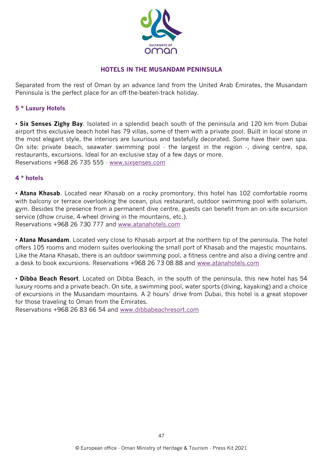

#### **HOTELS IN THE MUSANDAM PENINSULA**

Separated from the rest of Oman by an advance land from the United Arab Emirates, the Musandam Peninsula is the perfect place for an off-the-beaten-track holiday.

#### **5 \* Luxury Hotels**

• **Six Senses Zighy Bay**. Isolated in a splendid beach south of the peninsula and 120 km from Dubai airport this exclusive beach hotel has 79 villas, some of them with a private pool. Built in local stone in the most elegant style, the interiors are luxurious and tastefully decorated. Some have their own spa. On site: private beach, seawater swimming pool  $\cdot$  the largest in the region  $\cdot$ , diving centre, spa, restaurants, excursions. Ideal for an exclusive stay of a few days or more. Reservations +968 26 735 555 - [www.sixsenses.com](http://www.sixsenses.com/)

#### **4 \* hotels**

• **Atana Khasab**. Located near Khasab on a rocky promontory, this hotel has 102 comfortable rooms with balcony or terrace overlooking the ocean, plus restaurant, outdoor swimming pool with solarium, gym. Besides the presence from a permanent dive centre, guests can benefit from an on-site excursion service (dhow cruise, 4-wheel driving in the mountains, etc.). Reservations +968 26 730 777 and [www.atanahotels.com](http://www.atanahotels.com/)

• **Atana Musandam**. Located very close to Khasab airport at the northern tip of the peninsula. The hotel offers 105 rooms and modern suites overlooking the small port of Khasab and the majestic mountains. Like the Atana Khasab, there is an outdoor swimming pool, a fitness centre and also a diving centre and a desk to book excursions. Reservations +968 26 73 08 88 and [www.atanahotels.com](http://www.atanahotels.com/)

• **Dibba Beach Resort**. Located on Dibba Beach, in the south of the peninsula, this new hotel has 54 luxury rooms and a private beach. On site, a swimming pool, water sports (diving, kayaking) and a choice of excursions in the Musandam mountains. A 2 hours' drive from Dubai, this hotel is a great stopover for those traveling to Oman from the Emirates.

Reservations +968 26 83 66 54 and [www.dibbabeachresort.com](http://www.dibbabeachresort.com/)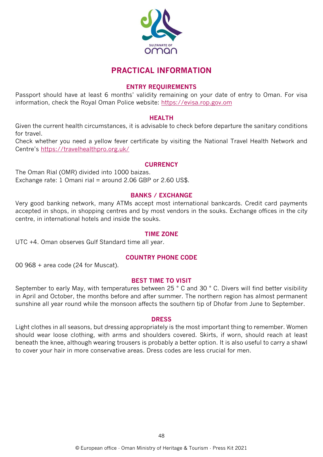

### **PRACTICAL INFORMATION**

#### **ENTRY REQUIREMENTS**

Passport should have at least 6 months' validity remaining on your date of entry to Oman. For visa information, check the Royal Oman Police website: [https://evisa.rop.gov.om](https://evisa.rop.gov.om/)

#### **HEALTH**

Given the current health circumstances, it is advisable to check before departure the sanitary conditions for travel.

Check whether you need a yellow fever certificate by visiting the National Travel Health Network and Centre's <https://travelhealthpro.org.uk/>

#### **CURRENCY**

The Oman Rial (OMR) divided into 1000 baizas. Exchange rate: 1 Omani rial = around 2.06 GBP or 2.60 US\$.

#### **BANKS / EXCHANGE**

Very good banking network, many ATMs accept most international bankcards. Credit card payments accepted in shops, in shopping centres and by most vendors in the souks. Exchange offices in the city centre, in international hotels and inside the souks.

#### **TIME ZONE**

UTC +4. Oman observes Gulf Standard time all year.

#### **COUNTRY PHONE CODE**

00 968 + area code (24 for Muscat).

#### **BEST TIME TO VISIT**

September to early May, with temperatures between 25 ° C and 30 ° C. Divers will find better visibility in April and October, the months before and after summer. The northern region has almost permanent sunshine all year round while the monsoon affects the southern tip of Dhofar from June to September.

#### **DRESS**

Light clothes in all seasons, but dressing appropriately is the most important thing to remember. Women should wear loose clothing, with arms and shoulders covered. Skirts, if worn, should reach at least beneath the knee, although wearing trousers is probably a better option. It is also useful to carry a shawl to cover your hair in more conservative areas. Dress codes are less crucial for men.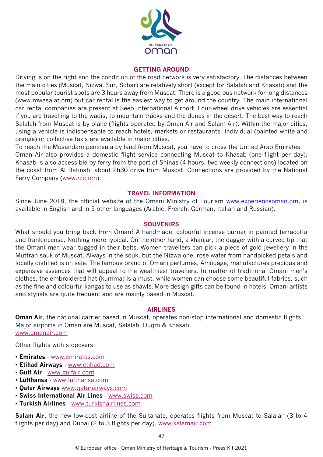

#### **GETTING AROUND**

Driving is on the right and the condition of the road network is very satisfactory. The distances between the main cities (Muscat, Nizwa, Sur, Sohar) are relatively short (except for Salalah and Khasab) and the most popular tourist spots are 3 hours away from Muscat. There is a good bus network for long distances (www.mwasalat.om) but car rental is the easiest way to get around the country. The main international car rental companies are present at Seeb International Airport. Four-wheel drive vehicles are essential if you are travelling to the wadis, to mountain tracks and the dunes in the desert. The best way to reach Salalah from Muscat is by plane (flights operated by Oman Air and Salam Air). Within the major cities, using a vehicle is indispensable to reach hotels, markets or restaurants. Individual (painted white and orange) or collective taxis are available in major cities.

To reach the Musandam peninsula by land from Muscat, you have to cross the United Arab Emirates. Oman Air also provides a domestic flight service connecting Muscat to Khasab (one flight per day). Khasab is also accessible by ferry from the port of Shinas (4 hours, two weekly connections) located on the coast from Al Batinah, about 2h30 drive from Muscat. Connections are provided by the National Ferry Company [\(www.nfc.om\)](http://www.nfc.om/).

#### **TRAVEL INFORMATION**

Since June 2018, the official website of the Omani Ministry of Tourism [www.experienceoman.om,](http://www.experienceoman.om/) is available in English and in 5 other languages (Arabic, French, German, Italian and Russian).

#### **SOUVENIRS**

What should you bring back from Oman? A handmade, colourful incense burner in painted terracotta and frankincense. Nothing more typical. On the other hand, a khanjar, the dagger with a curved tip that the Omani men wear tugged in their belts. Women travellers can pick a piece of gold jewellery in the Muttrah souk of Muscat. Always in the souk, but the Nizwa one, rose water from handpicked petals and locally distilled is on sale. The famous brand of Omani perfumes, Amouage, manufactures precious and expensive essences that will appeal to the wealthiest travellers. In matter of traditional Omani men's clothes, the embroidered hat (kumma) is a must, while women can choose some beautiful fabrics, such as the fine and colourful kangas to use as shawls. More design gifts can be found in hotels. Omani artists and stylists are quite frequent and are mainly based in Muscat.

#### **AIRLINES**

**Oman Air**, the national carrier based in Muscat, operates non-stop international and domestic flights. Major airports in Oman are Muscat, Salalah, Duqm & Khasab. [www.omanair.com](http://www.omanair.com/)

Other flights with stopovers:

- **Emirates** [www.emirates.com](http://www.emirates.com/)
- **Etihad Airways** [www.etihad.com](http://www.etihad.com/)
- **Gulf Air** [www.gulfair.com](http://www.gulfair.com/)
- **Lufthansa** [www.lufthansa.com](http://www.lufthansa.com/)
- **Qatar Airways** [www.qatarairways.com](http://www.qatarairways.com/)
- **Swiss International Air Lines** [www.swiss.com](http://www.swiss.com/)
- **Turkish Airlines** [www.turkishairlines.com](http://www.turkishairlines.com/)

**Salam Air**, the new low-cost airline of the Sultanate, operates flights from Muscat to Salalah (3 to 4 flights per day) and Dubai (2 to 3 flights per day). [www.salamair.com](http://www.salamair.com/)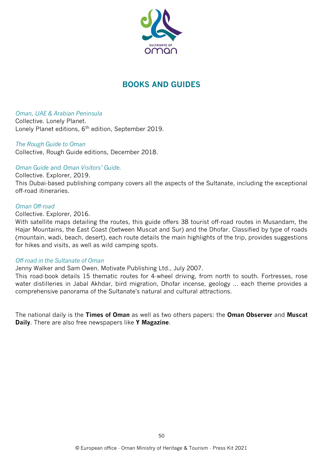

## **BOOKS AND GUIDES**

*Oman, UAE & Arabian Peninsula*

Collective. Lonely Planet. Lonely Planet editions, 6th edition, September 2019.

*The Rough Guide to Oman* Collective, Rough Guide editions, December 2018.

#### *Oman Guide* and *Oman Visitors' Guide.*

Collective. Explorer, 2019. This Dubai-based publishing company covers all the aspects of the Sultanate, including the exceptional off-road itineraries.

#### *Oman Off-road*

Collective. Explorer, 2016.

With satellite maps detailing the routes, this guide offers 38 tourist off-road routes in Musandam, the Hajar Mountains, the East Coast (between Muscat and Sur) and the Dhofar. Classified by type of roads (mountain, wadi, beach, desert), each route details the main highlights of the trip, provides suggestions for hikes and visits, as well as wild camping spots.

#### *Off-road in the Sultanate of Oman*

Jenny Walker and Sam Owen. Motivate Publishing Ltd., July 2007.

This road-book details 15 thematic routes for 4-wheel driving, from north to south. Fortresses, rose water distilleries in Jabal Akhdar, bird migration, Dhofar incense, geology ... each theme provides a comprehensive panorama of the Sultanate's natural and cultural attractions.

The national daily is the **Times of Oman** as well as two others papers: the **Oman Observer** and **Muscat Daily**. There are also free newspapers like **Y Magazine**.